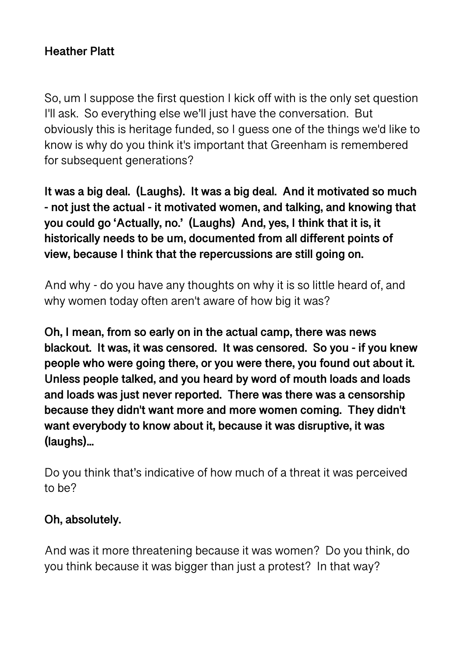## **Heather Platt**

So, um I suppose the first question I kick off with is the only set question I'll ask. So everything else we'll just have the conversation. But obviously this is heritage funded, so I guess one of the things we'd like to know is why do you think it's important that Greenham is remembered for subsequent generations?

**It was a big deal. (Laughs). It was a big deal. And it motivated so much - not just the actual - it motivated women, and talking, and knowing that you could go 'Actually, no.' (Laughs) And, yes, I think that it is, it historically needs to be um, documented from all different points of view, because I think that the repercussions are still going on.** 

And why - do you have any thoughts on why it is so little heard of, and why women today often aren't aware of how big it was?

**Oh, I mean, from so early on in the actual camp, there was news blackout. It was, it was censored. It was censored. So you - if you knew people who were going there, or you were there, you found out about it. Unless people talked, and you heard by word of mouth loads and loads and loads was just never reported. There was there was a censorship because they didn't want more and more women coming. They didn't want everybody to know about it, because it was disruptive, it was (laughs)...** 

Do you think that's indicative of how much of a threat it was perceived to be?

#### **Oh, absolutely.**

And was it more threatening because it was women? Do you think, do you think because it was bigger than just a protest? In that way?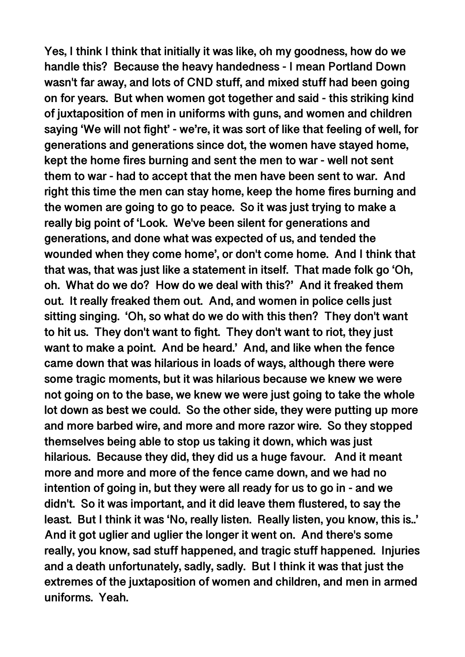**Yes, I think I think that initially it was like, oh my goodness, how do we handle this? Because the heavy handedness - I mean Portland Down wasn't far away, and lots of CND stuff, and mixed stuff had been going on for years. But when women got together and said - this striking kind of juxtaposition of men in uniforms with guns, and women and children saying 'We will not fight' - we're, it was sort of like that feeling of well, for generations and generations since dot, the women have stayed home, kept the home fires burning and sent the men to war - well not sent them to war - had to accept that the men have been sent to war. And right this time the men can stay home, keep the home fires burning and the women are going to go to peace. So it was just trying to make a really big point of 'Look. We've been silent for generations and generations, and done what was expected of us, and tended the wounded when they come home', or don't come home. And I think that that was, that was just like a statement in itself. That made folk go 'Oh, oh. What do we do? How do we deal with this?' And it freaked them out. It really freaked them out. And, and women in police cells just sitting singing. 'Oh, so what do we do with this then? They don't want to hit us. They don't want to fight. They don't want to riot, they just want to make a point. And be heard.' And, and like when the fence came down that was hilarious in loads of ways, although there were some tragic moments, but it was hilarious because we knew we were not going on to the base, we knew we were just going to take the whole lot down as best we could. So the other side, they were putting up more and more barbed wire, and more and more razor wire. So they stopped themselves being able to stop us taking it down, which was just hilarious. Because they did, they did us a huge favour. And it meant more and more and more of the fence came down, and we had no intention of going in, but they were all ready for us to go in - and we didn't. So it was important, and it did leave them flustered, to say the least. But I think it was 'No, really listen. Really listen, you know, this is..' And it got uglier and uglier the longer it went on. And there's some really, you know, sad stuff happened, and tragic stuff happened. Injuries and a death unfortunately, sadly, sadly. But I think it was that just the extremes of the juxtaposition of women and children, and men in armed uniforms. Yeah.**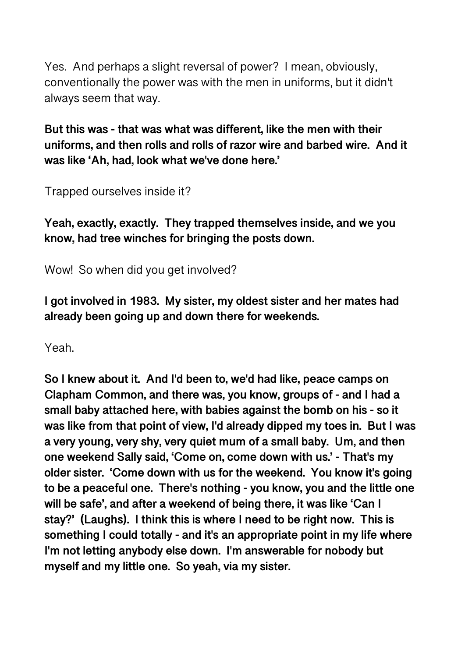Yes. And perhaps a slight reversal of power? I mean, obviously, conventionally the power was with the men in uniforms, but it didn't always seem that way.

**But this was - that was what was different, like the men with their uniforms, and then rolls and rolls of razor wire and barbed wire. And it was like 'Ah, had, look what we've done here.'** 

Trapped ourselves inside it?

**Yeah, exactly, exactly. They trapped themselves inside, and we you know, had tree winches for bringing the posts down.** 

Wow! So when did you get involved?

**I got involved in 1983. My sister, my oldest sister and her mates had already been going up and down there for weekends.** 

Yeah.

**So I knew about it. And I'd been to, we'd had like, peace camps on Clapham Common, and there was, you know, groups of - and I had a small baby attached here, with babies against the bomb on his - so it was like from that point of view, I'd already dipped my toes in. But I was a very young, very shy, very quiet mum of a small baby. Um, and then one weekend Sally said, 'Come on, come down with us.' - That's my older sister. 'Come down with us for the weekend. You know it's going to be a peaceful one. There's nothing - you know, you and the little one will be safe', and after a weekend of being there, it was like 'Can I stay?' (Laughs). I think this is where I need to be right now. This is something I could totally - and it's an appropriate point in my life where I'm not letting anybody else down. I'm answerable for nobody but myself and my little one. So yeah, via my sister.**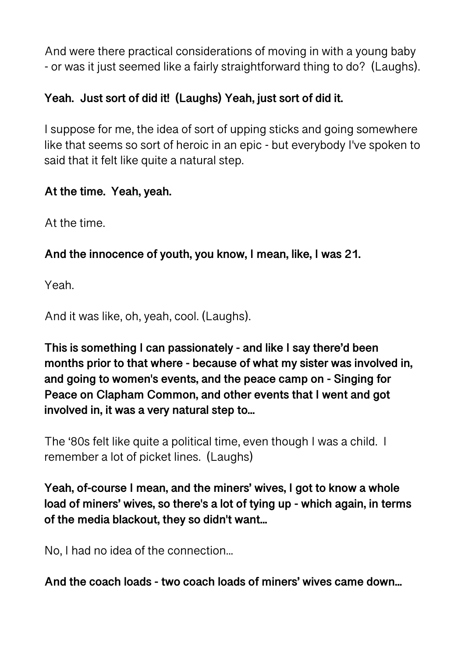And were there practical considerations of moving in with a young baby - or was it just seemed like a fairly straightforward thing to do? (Laughs).

# **Yeah. Just sort of did it! (Laughs) Yeah, just sort of did it.**

I suppose for me, the idea of sort of upping sticks and going somewhere like that seems so sort of heroic in an epic - but everybody I've spoken to said that it felt like quite a natural step.

## **At the time. Yeah, yeah.**

At the time.

## **And the innocence of youth, you know, I mean, like, I was 21.**

Yeah.

And it was like, oh, yeah, cool. (Laughs).

**This is something I can passionately - and like I say there'd been months prior to that where - because of what my sister was involved in, and going to women's events, and the peace camp on - Singing for Peace on Clapham Common, and other events that I went and got involved in, it was a very natural step to...** 

The '80s felt like quite a political time, even though I was a child. I remember a lot of picket lines. (Laughs)

**Yeah, of-course I mean, and the miners' wives, I got to know a whole load of miners' wives, so there's a lot of tying up - which again, in terms of the media blackout, they so didn't want...** 

No, I had no idea of the connection...

**And the coach loads - two coach loads of miners' wives came down...**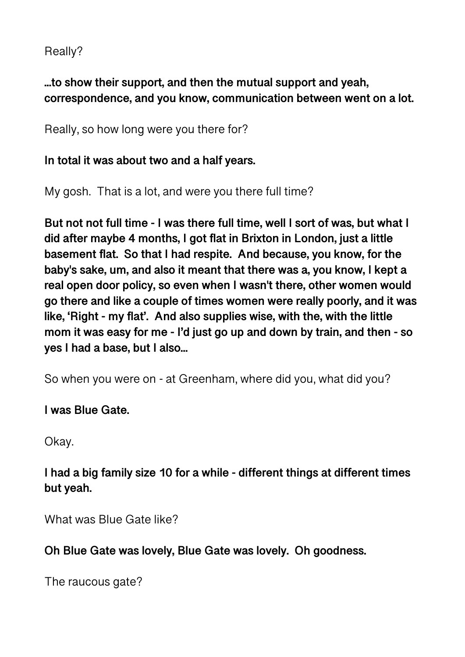Really?

## **...to show their support, and then the mutual support and yeah, correspondence, and you know, communication between went on a lot.**

Really, so how long were you there for?

#### **In total it was about two and a half years.**

My gosh. That is a lot, and were you there full time?

**But not not full time - I was there full time, well I sort of was, but what I did after maybe 4 months, I got flat in Brixton in London, just a little basement flat. So that I had respite. And because, you know, for the baby's sake, um, and also it meant that there was a, you know, I kept a real open door policy, so even when I wasn't there, other women would go there and like a couple of times women were really poorly, and it was like, 'Right - my flat'. And also supplies wise, with the, with the little mom it was easy for me - I'd just go up and down by train, and then - so yes I had a base, but I also...** 

So when you were on - at Greenham, where did you, what did you?

**I was Blue Gate.** 

Okay.

## **I had a big family size 10 for a while - different things at different times but yeah.**

What was Blue Gate like?

**Oh Blue Gate was lovely, Blue Gate was lovely. Oh goodness.** 

The raucous gate?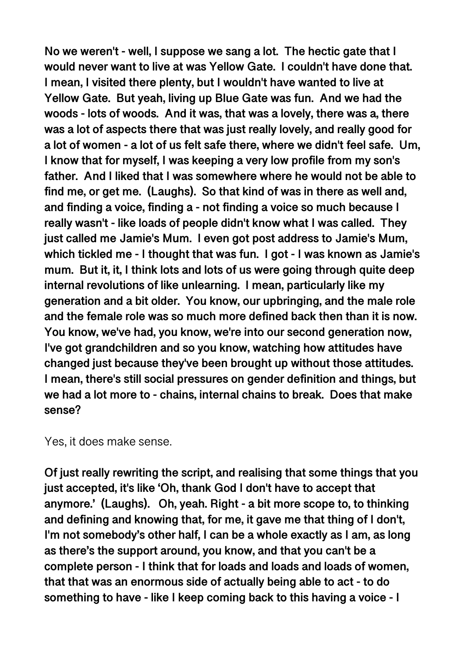**No we weren't - well, I suppose we sang a lot. The hectic gate that I would never want to live at was Yellow Gate. I couldn't have done that. I mean, I visited there plenty, but I wouldn't have wanted to live at Yellow Gate. But yeah, living up Blue Gate was fun. And we had the woods - lots of woods. And it was, that was a lovely, there was a, there was a lot of aspects there that was just really lovely, and really good for a lot of women - a lot of us felt safe there, where we didn't feel safe. Um, I know that for myself, I was keeping a very low profile from my son's father. And I liked that I was somewhere where he would not be able to find me, or get me. (Laughs). So that kind of was in there as well and, and finding a voice, finding a - not finding a voice so much because I really wasn't - like loads of people didn't know what I was called. They just called me Jamie's Mum. I even got post address to Jamie's Mum, which tickled me - I thought that was fun. I got - I was known as Jamie's mum. But it, it, I think lots and lots of us were going through quite deep internal revolutions of like unlearning. I mean, particularly like my generation and a bit older. You know, our upbringing, and the male role and the female role was so much more defined back then than it is now. You know, we've had, you know, we're into our second generation now, I've got grandchildren and so you know, watching how attitudes have changed just because they've been brought up without those attitudes. I mean, there's still social pressures on gender definition and things, but we had a lot more to - chains, internal chains to break. Does that make sense?** 

Yes, it does make sense.

**Of just really rewriting the script, and realising that some things that you just accepted, it's like 'Oh, thank God I don't have to accept that anymore.' (Laughs). Oh, yeah. Right - a bit more scope to, to thinking and defining and knowing that, for me, it gave me that thing of I don't, I'm not somebody's other half, I can be a whole exactly as I am, as long as there's the support around, you know, and that you can't be a complete person - I think that for loads and loads and loads of women, that that was an enormous side of actually being able to act - to do something to have - like I keep coming back to this having a voice - I**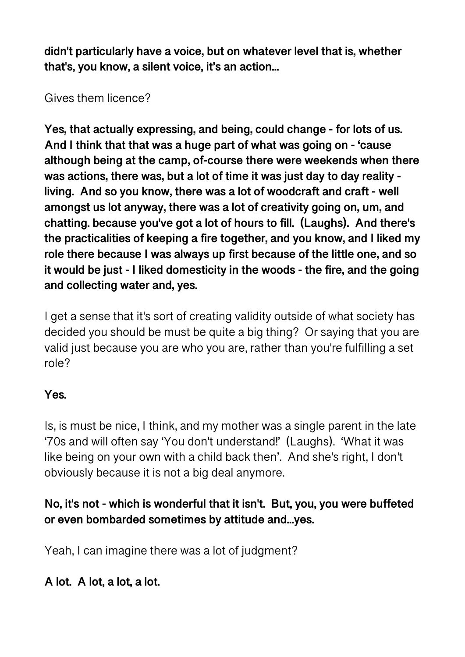**didn't particularly have a voice, but on whatever level that is, whether that's, you know, a silent voice, it's an action...** 

Gives them licence?

**Yes, that actually expressing, and being, could change - for lots of us. And I think that that was a huge part of what was going on - 'cause although being at the camp, of-course there were weekends when there was actions, there was, but a lot of time it was just day to day reality living. And so you know, there was a lot of woodcraft and craft - well amongst us lot anyway, there was a lot of creativity going on, um, and chatting. because you've got a lot of hours to fill. (Laughs). And there's the practicalities of keeping a fire together, and you know, and I liked my role there because I was always up first because of the little one, and so it would be just - I liked domesticity in the woods - the fire, and the going and collecting water and, yes.** 

I get a sense that it's sort of creating validity outside of what society has decided you should be must be quite a big thing? Or saying that you are valid just because you are who you are, rather than you're fulfilling a set role?

# **Yes.**

Is, is must be nice, I think, and my mother was a single parent in the late '70s and will often say 'You don't understand!' (Laughs). 'What it was like being on your own with a child back then'. And she's right, I don't obviously because it is not a big deal anymore.

# **No, it's not - which is wonderful that it isn't. But, you, you were buffeted or even bombarded sometimes by attitude and...yes.**

Yeah, I can imagine there was a lot of judgment?

**A lot. A lot, a lot, a lot.**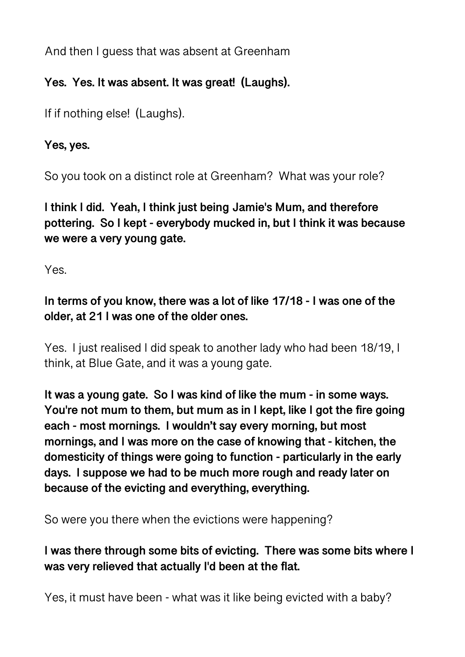And then I guess that was absent at Greenham

# **Yes. Yes. It was absent. It was great! (Laughs).**

If if nothing else! (Laughs).

## **Yes, yes.**

So you took on a distinct role at Greenham? What was your role?

**I think I did. Yeah, I think just being Jamie's Mum, and therefore pottering. So I kept - everybody mucked in, but I think it was because we were a very young gate.** 

Yes.

# **In terms of you know, there was a lot of like 17/18 - I was one of the older, at 21 I was one of the older ones.**

Yes. I just realised I did speak to another lady who had been 18/19, I think, at Blue Gate, and it was a young gate.

**It was a young gate. So I was kind of like the mum - in some ways. You're not mum to them, but mum as in I kept, like I got the fire going each - most mornings. I wouldn't say every morning, but most mornings, and I was more on the case of knowing that - kitchen, the domesticity of things were going to function - particularly in the early days. I suppose we had to be much more rough and ready later on because of the evicting and everything, everything.** 

So were you there when the evictions were happening?

# **I was there through some bits of evicting. There was some bits where I was very relieved that actually I'd been at the flat.**

Yes, it must have been - what was it like being evicted with a baby?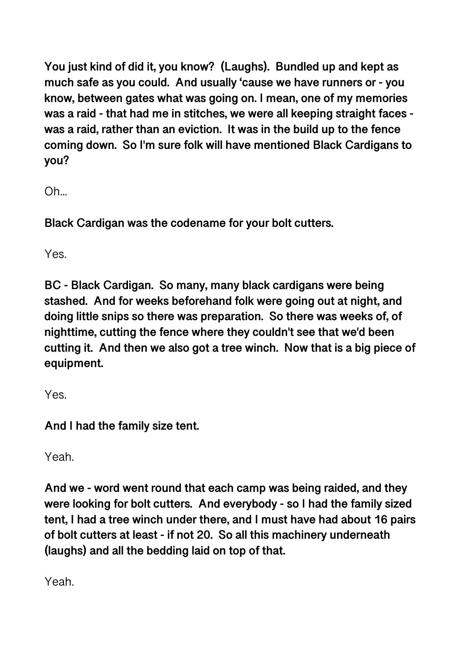**You just kind of did it, you know? (Laughs). Bundled up and kept as much safe as you could. And usually 'cause we have runners or - you know, between gates what was going on. I mean, one of my memories was a raid - that had me in stitches, we were all keeping straight faces was a raid, rather than an eviction. It was in the build up to the fence coming down. So I'm sure folk will have mentioned Black Cardigans to you?** 

Oh...

**Black Cardigan was the codename for your bolt cutters.** 

Yes.

**BC - Black Cardigan. So many, many black cardigans were being stashed. And for weeks beforehand folk were going out at night, and doing little snips so there was preparation. So there was weeks of, of nighttime, cutting the fence where they couldn't see that we'd been cutting it. And then we also got a tree winch. Now that is a big piece of equipment.** 

Yes.

**And I had the family size tent.** 

Yeah.

**And we - word went round that each camp was being raided, and they were looking for bolt cutters. And everybody - so I had the family sized tent, I had a tree winch under there, and I must have had about 16 pairs of bolt cutters at least - if not 20. So all this machinery underneath (laughs) and all the bedding laid on top of that.** 

Yeah.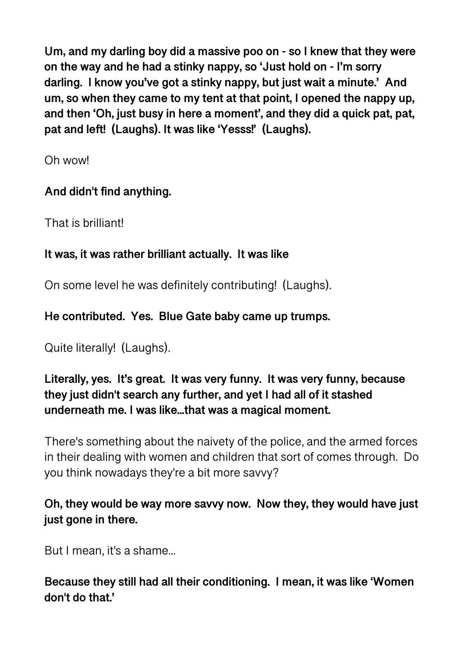**Um, and my darling boy did a massive poo on - so I knew that they were on the way and he had a stinky nappy, so 'Just hold on - I'm sorry darling. I know you've got a stinky nappy, but just wait a minute.' And um, so when they came to my tent at that point, I opened the nappy up, and then 'Oh, just busy in here a moment', and they did a quick pat, pat, pat and left! (Laughs). It was like 'Yesss!' (Laughs).** 

Oh wow!

# **And didn't find anything.**

That is brilliant!

# **It was, it was rather brilliant actually. It was like**

On some level he was definitely contributing! (Laughs).

# **He contributed. Yes. Blue Gate baby came up trumps.**

Quite literally! (Laughs).

# **Literally, yes. It's great. It was very funny. It was very funny, because they just didn't search any further, and yet I had all of it stashed underneath me. I was like...that was a magical moment.**

There's something about the naivety of the police, and the armed forces in their dealing with women and children that sort of comes through. Do you think nowadays they're a bit more savvy?

# **Oh, they would be way more savvy now. Now they, they would have just just gone in there.**

But I mean, it's a shame...

# **Because they still had all their conditioning. I mean, it was like 'Women don't do that.'**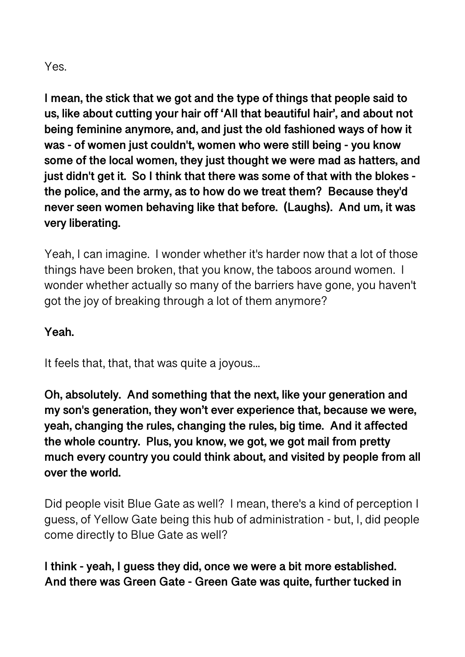#### Yes.

**I mean, the stick that we got and the type of things that people said to us, like about cutting your hair off 'All that beautiful hair', and about not being feminine anymore, and, and just the old fashioned ways of how it was - of women just couldn't, women who were still being - you know some of the local women, they just thought we were mad as hatters, and just didn't get it. So I think that there was some of that with the blokes the police, and the army, as to how do we treat them? Because they'd never seen women behaving like that before. (Laughs). And um, it was very liberating.** 

Yeah, I can imagine. I wonder whether it's harder now that a lot of those things have been broken, that you know, the taboos around women. I wonder whether actually so many of the barriers have gone, you haven't got the joy of breaking through a lot of them anymore?

#### **Yeah.**

It feels that, that, that was quite a joyous...

**Oh, absolutely. And something that the next, like your generation and my son's generation, they won't ever experience that, because we were, yeah, changing the rules, changing the rules, big time. And it affected the whole country. Plus, you know, we got, we got mail from pretty much every country you could think about, and visited by people from all over the world.** 

Did people visit Blue Gate as well? I mean, there's a kind of perception I guess, of Yellow Gate being this hub of administration - but, I, did people come directly to Blue Gate as well?

**I think - yeah, I guess they did, once we were a bit more established. And there was Green Gate - Green Gate was quite, further tucked in**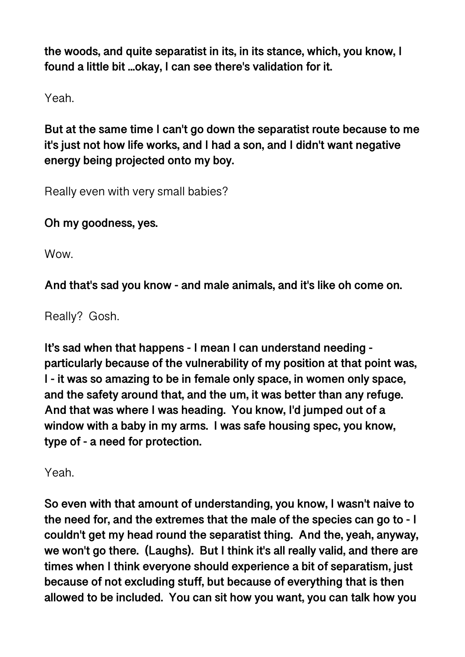**the woods, and quite separatist in its, in its stance, which, you know, I found a little bit ...okay, I can see there's validation for it.** 

Yeah.

**But at the same time I can't go down the separatist route because to me it's just not how life works, and I had a son, and I didn't want negative energy being projected onto my boy.** 

Really even with very small babies?

**Oh my goodness, yes.** 

**Wow.** 

**And that's sad you know - and male animals, and it's like oh come on.** 

Really? Gosh.

**It's sad when that happens - I mean I can understand needing particularly because of the vulnerability of my position at that point was, I - it was so amazing to be in female only space, in women only space, and the safety around that, and the um, it was better than any refuge. And that was where I was heading. You know, I'd jumped out of a window with a baby in my arms. I was safe housing spec, you know, type of - a need for protection.** 

Yeah.

**So even with that amount of understanding, you know, I wasn't naive to the need for, and the extremes that the male of the species can go to - I couldn't get my head round the separatist thing. And the, yeah, anyway, we won't go there. (Laughs). But I think it's all really valid, and there are times when I think everyone should experience a bit of separatism, just because of not excluding stuff, but because of everything that is then allowed to be included. You can sit how you want, you can talk how you**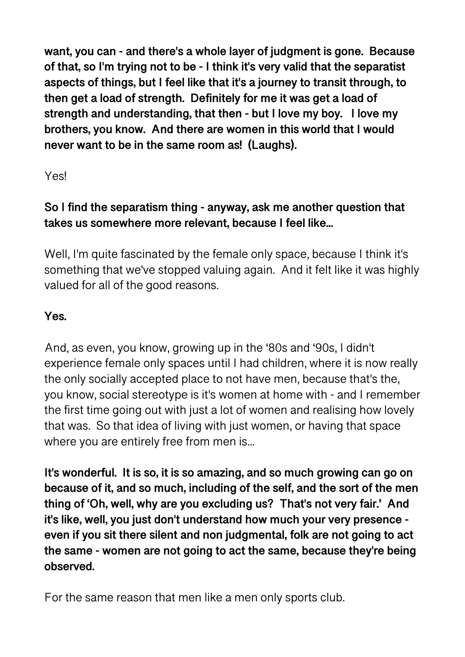**want, you can - and there's a whole layer of judgment is gone. Because of that, so I'm trying not to be - I think it's very valid that the separatist aspects of things, but I feel like that it's a journey to transit through, to then get a load of strength. Definitely for me it was get a load of strength and understanding, that then - but I love my boy. I love my brothers, you know. And there are women in this world that I would never want to be in the same room as! (Laughs).** 

Yes!

# **So I find the separatism thing - anyway, ask me another question that takes us somewhere more relevant, because I feel like...**

Well, I'm quite fascinated by the female only space, because I think it's something that we've stopped valuing again. And it felt like it was highly valued for all of the good reasons.

# **Yes.**

And, as even, you know, growing up in the '80s and '90s, I didn't experience female only spaces until I had children, where it is now really the only socially accepted place to not have men, because that's the, you know, social stereotype is it's women at home with - and I remember the first time going out with just a lot of women and realising how lovely that was. So that idea of living with just women, or having that space where you are entirely free from men is...

**It's wonderful. It is so, it is so amazing, and so much growing can go on because of it, and so much, including of the self, and the sort of the men thing of 'Oh, well, why are you excluding us? That's not very fair.' And it's like, well, you just don't understand how much your very presence even if you sit there silent and non judgmental, folk are not going to act the same - women are not going to act the same, because they're being observed.** 

For the same reason that men like a men only sports club.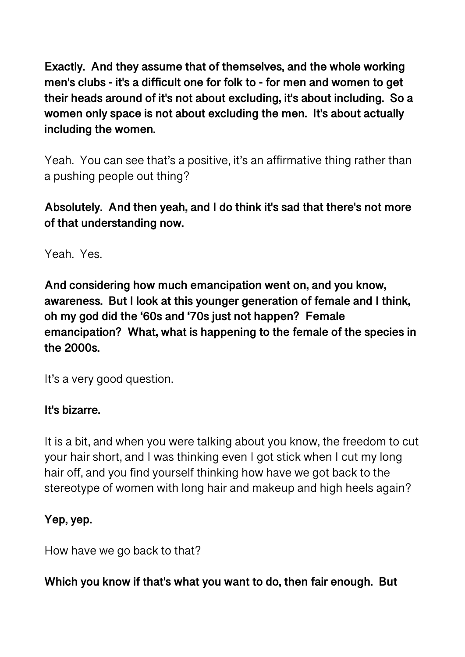**Exactly. And they assume that of themselves, and the whole working men's clubs - it's a difficult one for folk to - for men and women to get their heads around of it's not about excluding, it's about including. So a women only space is not about excluding the men. It's about actually including the women.** 

Yeah. You can see that's a positive, it's an affirmative thing rather than a pushing people out thing?

## **Absolutely. And then yeah, and I do think it's sad that there's not more of that understanding now.**

Yeah. Yes.

**And considering how much emancipation went on, and you know, awareness. But I look at this younger generation of female and I think, oh my god did the '60s and '70s just not happen? Female emancipation? What, what is happening to the female of the species in the 2000s.** 

It's a very good question.

## **It's bizarre.**

It is a bit, and when you were talking about you know, the freedom to cut your hair short, and I was thinking even I got stick when I cut my long hair off, and you find yourself thinking how have we got back to the stereotype of women with long hair and makeup and high heels again?

## **Yep, yep.**

How have we go back to that?

**Which you know if that's what you want to do, then fair enough. But**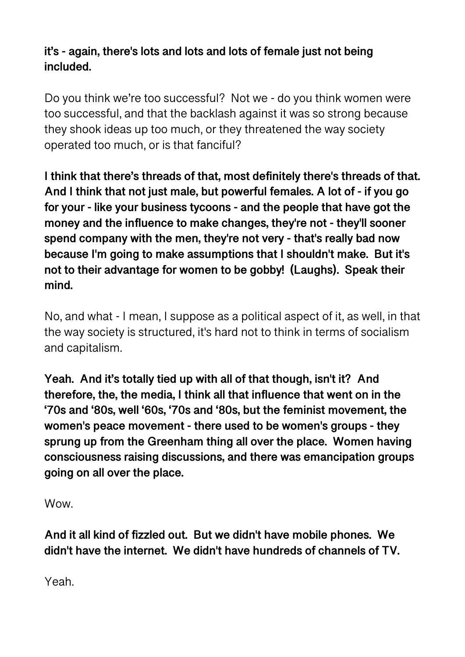**it's - again, there's lots and lots and lots of female just not being included.** 

Do you think we're too successful? Not we - do you think women were too successful, and that the backlash against it was so strong because they shook ideas up too much, or they threatened the way society operated too much, or is that fanciful?

**I think that there's threads of that, most definitely there's threads of that. And I think that not just male, but powerful females. A lot of - if you go for your - like your business tycoons - and the people that have got the money and the influence to make changes, they're not - they'll sooner spend company with the men, they're not very - that's really bad now because I'm going to make assumptions that I shouldn't make. But it's not to their advantage for women to be gobby! (Laughs). Speak their mind.** 

No, and what - I mean, I suppose as a political aspect of it, as well, in that the way society is structured, it's hard not to think in terms of socialism and capitalism.

**Yeah. And it's totally tied up with all of that though, isn't it? And therefore, the, the media, I think all that influence that went on in the '70s and '80s, well '60s, '70s and '80s, but the feminist movement, the women's peace movement - there used to be women's groups - they sprung up from the Greenham thing all over the place. Women having consciousness raising discussions, and there was emancipation groups going on all over the place.** 

Wow.

**And it all kind of fizzled out. But we didn't have mobile phones. We didn't have the internet. We didn't have hundreds of channels of TV.** 

Yeah.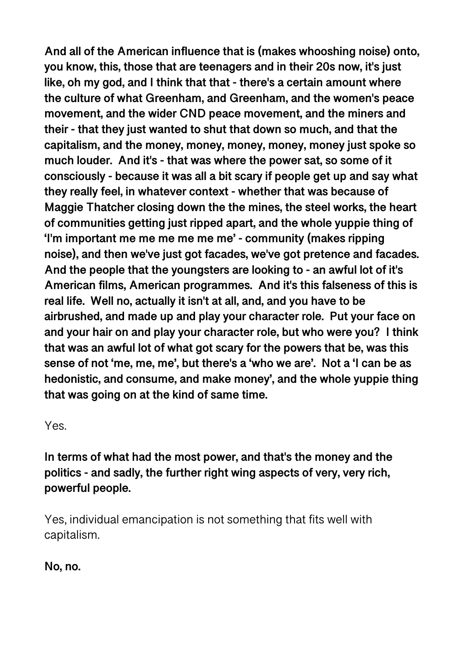**And all of the American influence that is (makes whooshing noise) onto, you know, this, those that are teenagers and in their 20s now, it's just like, oh my god, and I think that that - there's a certain amount where the culture of what Greenham, and Greenham, and the women's peace movement, and the wider CND peace movement, and the miners and their - that they just wanted to shut that down so much, and that the capitalism, and the money, money, money, money, money just spoke so much louder. And it's - that was where the power sat, so some of it consciously - because it was all a bit scary if people get up and say what they really feel, in whatever context - whether that was because of Maggie Thatcher closing down the the mines, the steel works, the heart of communities getting just ripped apart, and the whole yuppie thing of 'I'm important me me me me me me' - community (makes ripping noise), and then we've just got facades, we've got pretence and facades. And the people that the youngsters are looking to - an awful lot of it's American films, American programmes. And it's this falseness of this is real life. Well no, actually it isn't at all, and, and you have to be airbrushed, and made up and play your character role. Put your face on and your hair on and play your character role, but who were you? I think that was an awful lot of what got scary for the powers that be, was this sense of not 'me, me, me', but there's a 'who we are'. Not a 'I can be as hedonistic, and consume, and make money', and the whole yuppie thing that was going on at the kind of same time.** 

Yes.

**In terms of what had the most power, and that's the money and the politics - and sadly, the further right wing aspects of very, very rich, powerful people.** 

Yes, individual emancipation is not something that fits well with capitalism.

**No, no.**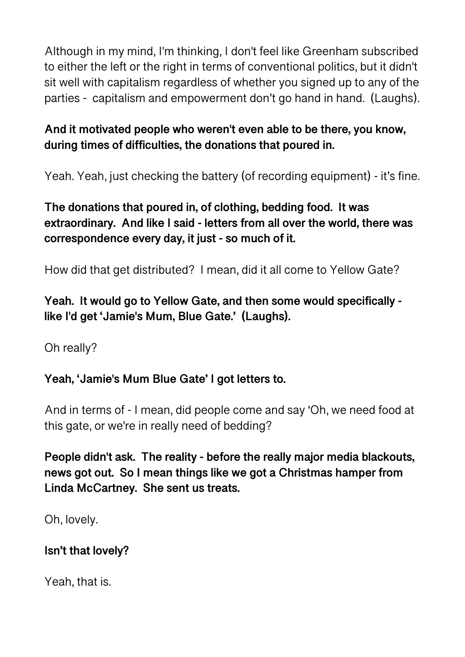Although in my mind, I'm thinking, I don't feel like Greenham subscribed to either the left or the right in terms of conventional politics, but it didn't sit well with capitalism regardless of whether you signed up to any of the parties - capitalism and empowerment don't go hand in hand. (Laughs).

## **And it motivated people who weren't even able to be there, you know, during times of difficulties, the donations that poured in.**

Yeah. Yeah, just checking the battery (of recording equipment) - it's fine.

# **The donations that poured in, of clothing, bedding food. It was extraordinary. And like I said - letters from all over the world, there was correspondence every day, it just - so much of it.**

How did that get distributed? I mean, did it all come to Yellow Gate?

## **Yeah. It would go to Yellow Gate, and then some would specifically like I'd get 'Jamie's Mum, Blue Gate.' (Laughs).**

Oh really?

# **Yeah, 'Jamie's Mum Blue Gate' I got letters to.**

And in terms of - I mean, did people come and say 'Oh, we need food at this gate, or we're in really need of bedding?

**People didn't ask. The reality - before the really major media blackouts, news got out. So I mean things like we got a Christmas hamper from Linda McCartney. She sent us treats.** 

Oh, lovely.

## **Isn't that lovely?**

Yeah, that is.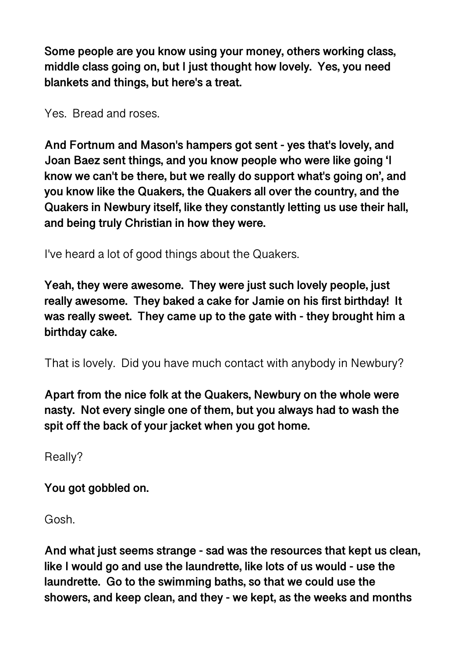**Some people are you know using your money, others working class, middle class going on, but I just thought how lovely. Yes, you need blankets and things, but here's a treat.** 

Yes. Bread and roses.

**And Fortnum and Mason's hampers got sent - yes that's lovely, and Joan Baez sent things, and you know people who were like going 'I know we can't be there, but we really do support what's going on', and you know like the Quakers, the Quakers all over the country, and the Quakers in Newbury itself, like they constantly letting us use their hall, and being truly Christian in how they were.** 

I've heard a lot of good things about the Quakers.

**Yeah, they were awesome. They were just such lovely people, just really awesome. They baked a cake for Jamie on his first birthday! It was really sweet. They came up to the gate with - they brought him a birthday cake.** 

That is lovely. Did you have much contact with anybody in Newbury?

**Apart from the nice folk at the Quakers, Newbury on the whole were nasty. Not every single one of them, but you always had to wash the spit off the back of your jacket when you got home.** 

Really?

**You got gobbled on.** 

Gosh.

**And what just seems strange - sad was the resources that kept us clean, like I would go and use the laundrette, like lots of us would - use the laundrette. Go to the swimming baths, so that we could use the showers, and keep clean, and they - we kept, as the weeks and months**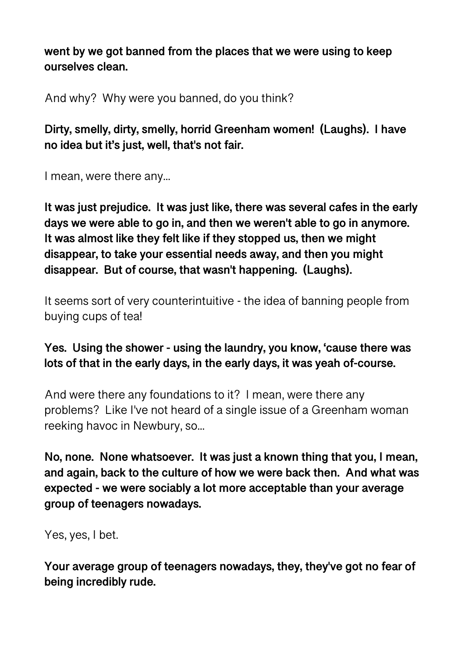**went by we got banned from the places that we were using to keep ourselves clean.** 

And why? Why were you banned, do you think?

**Dirty, smelly, dirty, smelly, horrid Greenham women! (Laughs). I have no idea but it's just, well, that's not fair.** 

I mean, were there any...

**It was just prejudice. It was just like, there was several cafes in the early days we were able to go in, and then we weren't able to go in anymore. It was almost like they felt like if they stopped us, then we might disappear, to take your essential needs away, and then you might disappear. But of course, that wasn't happening. (Laughs).** 

It seems sort of very counterintuitive - the idea of banning people from buying cups of tea!

## **Yes. Using the shower - using the laundry, you know, 'cause there was lots of that in the early days, in the early days, it was yeah of-course.**

And were there any foundations to it? I mean, were there any problems? Like I've not heard of a single issue of a Greenham woman reeking havoc in Newbury, so...

**No, none. None whatsoever. It was just a known thing that you, I mean, and again, back to the culture of how we were back then. And what was expected - we were sociably a lot more acceptable than your average group of teenagers nowadays.** 

Yes, yes, I bet.

**Your average group of teenagers nowadays, they, they've got no fear of being incredibly rude.**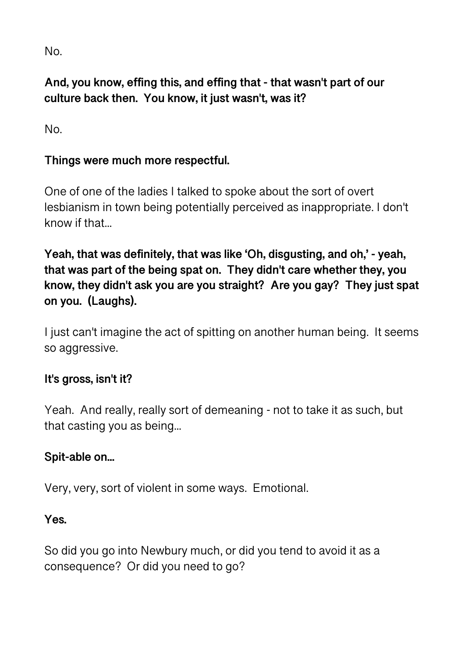No.

# **And, you know, effing this, and effing that - that wasn't part of our culture back then. You know, it just wasn't, was it?**

No.

## **Things were much more respectful.**

One of one of the ladies I talked to spoke about the sort of overt lesbianism in town being potentially perceived as inappropriate. I don't know if that...

**Yeah, that was definitely, that was like 'Oh, disgusting, and oh,' - yeah, that was part of the being spat on. They didn't care whether they, you know, they didn't ask you are you straight? Are you gay? They just spat on you. (Laughs).** 

I just can't imagine the act of spitting on another human being. It seems so aggressive.

## **It's gross, isn't it?**

Yeah. And really, really sort of demeaning - not to take it as such, but that casting you as being...

#### **Spit-able on...**

Very, very, sort of violent in some ways. Emotional.

**Yes.** 

So did you go into Newbury much, or did you tend to avoid it as a consequence? Or did you need to go?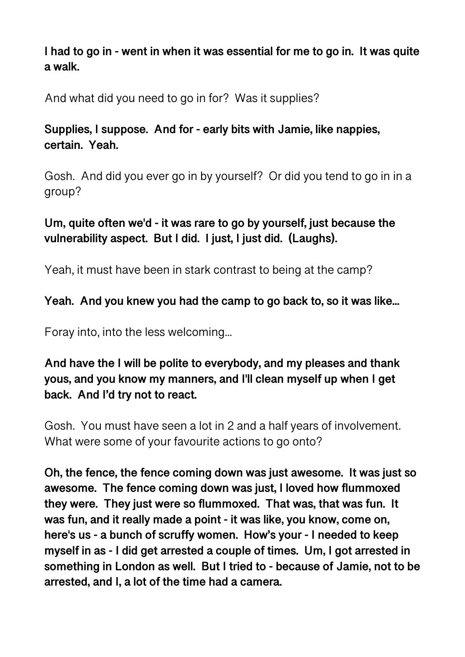**I had to go in - went in when it was essential for me to go in. It was quite a walk.** 

And what did you need to go in for? Was it supplies?

## **Supplies, I suppose. And for - early bits with Jamie, like nappies, certain. Yeah.**

Gosh. And did you ever go in by yourself? Or did you tend to go in in a group?

# **Um, quite often we'd - it was rare to go by yourself, just because the vulnerability aspect. But I did. I just, I just did. (Laughs).**

Yeah, it must have been in stark contrast to being at the camp?

## **Yeah. And you knew you had the camp to go back to, so it was like...**

Foray into, into the less welcoming...

## **And have the I will be polite to everybody, and my pleases and thank yous, and you know my manners, and I'll clean myself up when I get back. And I'd try not to react.**

Gosh. You must have seen a lot in 2 and a half years of involvement. What were some of your favourite actions to go onto?

**Oh, the fence, the fence coming down was just awesome. It was just so awesome. The fence coming down was just, I loved how flummoxed they were. They just were so flummoxed. That was, that was fun. It was fun, and it really made a point - it was like, you know, come on, here's us - a bunch of scruffy women. How's your - I needed to keep myself in as - I did get arrested a couple of times. Um, I got arrested in something in London as well. But I tried to - because of Jamie, not to be arrested, and I, a lot of the time had a camera.**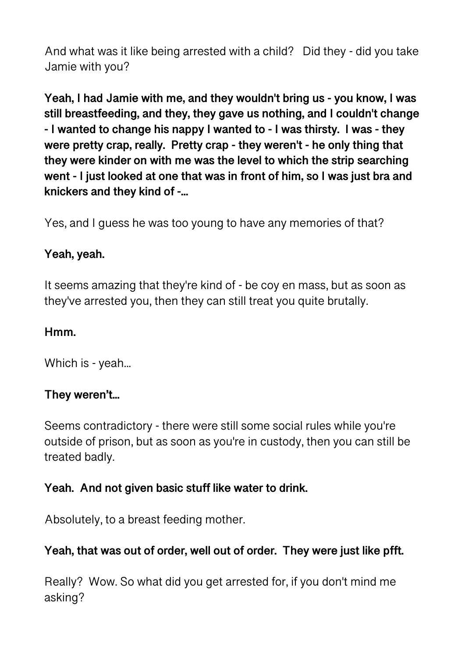And what was it like being arrested with a child? Did they - did you take Jamie with you?

**Yeah, I had Jamie with me, and they wouldn't bring us - you know, I was still breastfeeding, and they, they gave us nothing, and I couldn't change - I wanted to change his nappy I wanted to - I was thirsty. I was - they were pretty crap, really. Pretty crap - they weren't - he only thing that they were kinder on with me was the level to which the strip searching went - I just looked at one that was in front of him, so I was just bra and knickers and they kind of -...** 

Yes, and I guess he was too young to have any memories of that?

#### **Yeah, yeah.**

It seems amazing that they're kind of - be coy en mass, but as soon as they've arrested you, then they can still treat you quite brutally.

#### **Hmm.**

Which is - yeah...

#### **They weren't...**

Seems contradictory - there were still some social rules while you're outside of prison, but as soon as you're in custody, then you can still be treated badly.

#### **Yeah. And not given basic stuff like water to drink.**

Absolutely, to a breast feeding mother.

## **Yeah, that was out of order, well out of order. They were just like pfft.**

Really? Wow. So what did you get arrested for, if you don't mind me asking?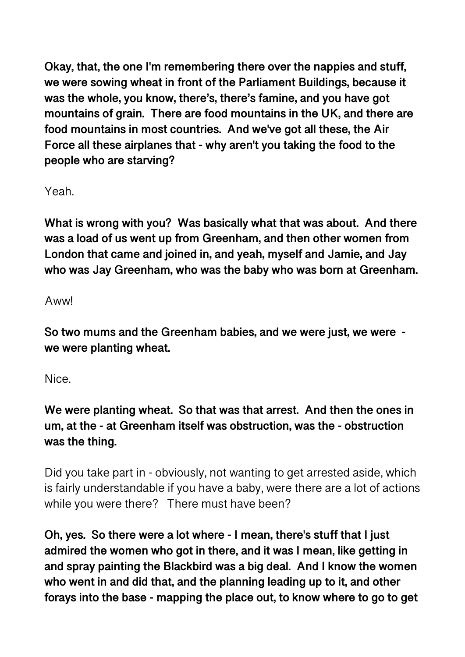**Okay, that, the one I'm remembering there over the nappies and stuff, we were sowing wheat in front of the Parliament Buildings, because it was the whole, you know, there's, there's famine, and you have got mountains of grain. There are food mountains in the UK, and there are food mountains in most countries. And we've got all these, the Air Force all these airplanes that - why aren't you taking the food to the people who are starving?** 

Yeah.

**What is wrong with you? Was basically what that was about. And there was a load of us went up from Greenham, and then other women from London that came and joined in, and yeah, myself and Jamie, and Jay who was Jay Greenham, who was the baby who was born at Greenham.** 

Aww!

**So two mums and the Greenham babies, and we were just, we were we were planting wheat.** 

Nice.

**We were planting wheat. So that was that arrest. And then the ones in um, at the - at Greenham itself was obstruction, was the - obstruction was the thing.** 

Did you take part in - obviously, not wanting to get arrested aside, which is fairly understandable if you have a baby, were there are a lot of actions while you were there? There must have been?

**Oh, yes. So there were a lot where - I mean, there's stuff that I just admired the women who got in there, and it was I mean, like getting in and spray painting the Blackbird was a big deal. And I know the women who went in and did that, and the planning leading up to it, and other forays into the base - mapping the place out, to know where to go to get**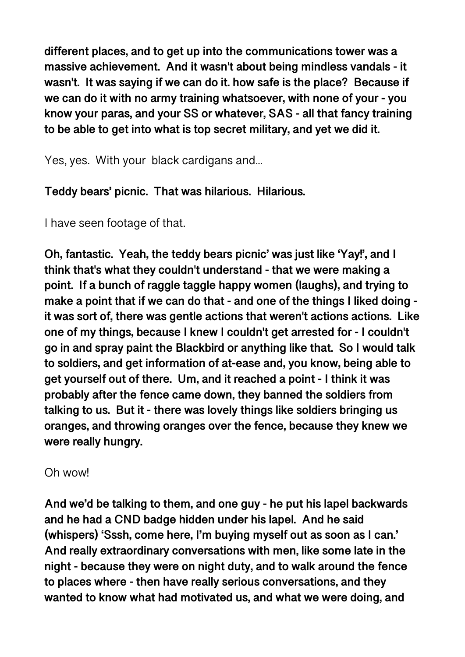**different places, and to get up into the communications tower was a massive achievement. And it wasn't about being mindless vandals - it wasn't. It was saying if we can do it. how safe is the place? Because if we can do it with no army training whatsoever, with none of your - you know your paras, and your SS or whatever, SAS - all that fancy training to be able to get into what is top secret military, and yet we did it.** 

Yes, yes. With your black cardigans and...

**Teddy bears' picnic. That was hilarious. Hilarious.** 

I have seen footage of that.

**Oh, fantastic. Yeah, the teddy bears picnic' was just like 'Yay!', and I think that's what they couldn't understand - that we were making a point. If a bunch of raggle taggle happy women (laughs), and trying to make a point that if we can do that - and one of the things I liked doing it was sort of, there was gentle actions that weren't actions actions. Like one of my things, because I knew I couldn't get arrested for - I couldn't go in and spray paint the Blackbird or anything like that. So I would talk to soldiers, and get information of at-ease and, you know, being able to get yourself out of there. Um, and it reached a point - I think it was probably after the fence came down, they banned the soldiers from talking to us. But it - there was lovely things like soldiers bringing us oranges, and throwing oranges over the fence, because they knew we were really hungry.** 

Oh wow!

**And we'd be talking to them, and one guy - he put his lapel backwards and he had a CND badge hidden under his lapel. And he said (whispers) 'Sssh, come here, I'm buying myself out as soon as I can.' And really extraordinary conversations with men, like some late in the night - because they were on night duty, and to walk around the fence to places where - then have really serious conversations, and they wanted to know what had motivated us, and what we were doing, and**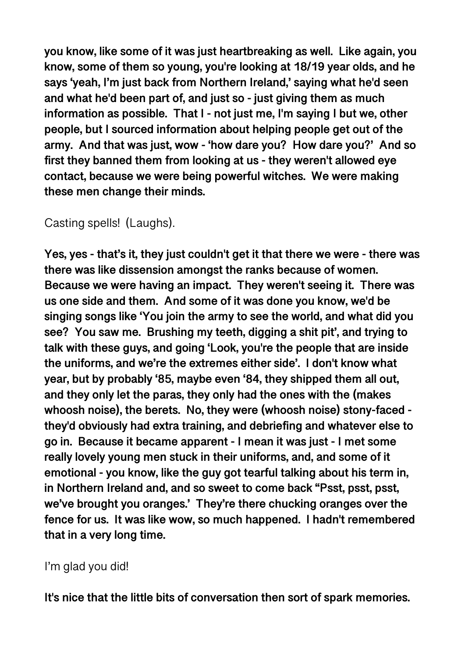**you know, like some of it was just heartbreaking as well. Like again, you know, some of them so young, you're looking at 18/19 year olds, and he says 'yeah, I'm just back from Northern Ireland,' saying what he'd seen and what he'd been part of, and just so - just giving them as much information as possible. That I - not just me, I'm saying I but we, other people, but I sourced information about helping people get out of the army. And that was just, wow - 'how dare you? How dare you?' And so first they banned them from looking at us - they weren't allowed eye contact, because we were being powerful witches. We were making these men change their minds.** 

# Casting spells! (Laughs).

**Yes, yes - that's it, they just couldn't get it that there we were - there was there was like dissension amongst the ranks because of women. Because we were having an impact. They weren't seeing it. There was us one side and them. And some of it was done you know, we'd be singing songs like 'You join the army to see the world, and what did you see? You saw me. Brushing my teeth, digging a shit pit', and trying to talk with these guys, and going 'Look, you're the people that are inside the uniforms, and we're the extremes either side'. I don't know what year, but by probably '85, maybe even '84, they shipped them all out, and they only let the paras, they only had the ones with the (makes whoosh noise), the berets. No, they were (whoosh noise) stony-faced they'd obviously had extra training, and debriefing and whatever else to go in. Because it became apparent - I mean it was just - I met some really lovely young men stuck in their uniforms, and, and some of it emotional - you know, like the guy got tearful talking about his term in, in Northern Ireland and, and so sweet to come back "Psst, psst, psst, we've brought you oranges.' They're there chucking oranges over the fence for us. It was like wow, so much happened. I hadn't remembered that in a very long time.** 

## I'm glad you did!

**It's nice that the little bits of conversation then sort of spark memories.**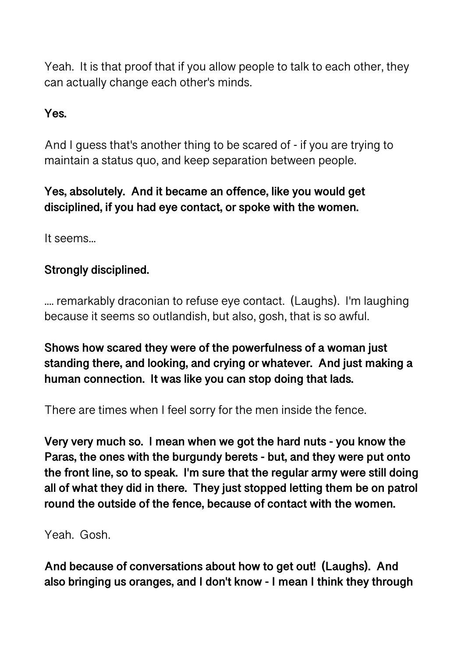Yeah. It is that proof that if you allow people to talk to each other, they can actually change each other's minds.

## **Yes.**

And I guess that's another thing to be scared of - if you are trying to maintain a status quo, and keep separation between people.

## **Yes, absolutely. And it became an offence, like you would get disciplined, if you had eye contact, or spoke with the women.**

It seems...

## **Strongly disciplined.**

.... remarkably draconian to refuse eye contact. (Laughs). I'm laughing because it seems so outlandish, but also, gosh, that is so awful.

**Shows how scared they were of the powerfulness of a woman just standing there, and looking, and crying or whatever. And just making a human connection. It was like you can stop doing that lads.** 

There are times when I feel sorry for the men inside the fence.

**Very very much so. I mean when we got the hard nuts - you know the Paras, the ones with the burgundy berets - but, and they were put onto the front line, so to speak. I'm sure that the regular army were still doing all of what they did in there. They just stopped letting them be on patrol round the outside of the fence, because of contact with the women.** 

Yeah. Gosh.

**And because of conversations about how to get out! (Laughs). And also bringing us oranges, and I don't know - I mean I think they through**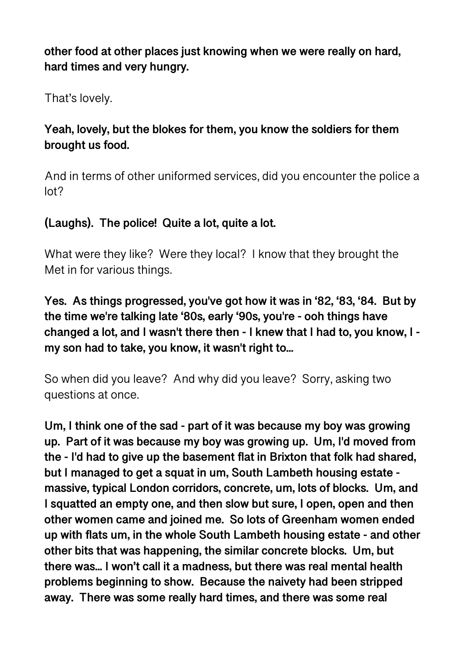**other food at other places just knowing when we were really on hard, hard times and very hungry.** 

That's lovely.

## **Yeah, lovely, but the blokes for them, you know the soldiers for them brought us food.**

And in terms of other uniformed services, did you encounter the police a lot?

## **(Laughs). The police! Quite a lot, quite a lot.**

What were they like? Were they local? I know that they brought the Met in for various things.

**Yes. As things progressed, you've got how it was in '82, '83, '84. But by the time we're talking late '80s, early '90s, you're - ooh things have changed a lot, and I wasn't there then - I knew that I had to, you know, I my son had to take, you know, it wasn't right to...** 

So when did you leave? And why did you leave? Sorry, asking two questions at once.

**Um, I think one of the sad - part of it was because my boy was growing up. Part of it was because my boy was growing up. Um, I'd moved from the - I'd had to give up the basement flat in Brixton that folk had shared, but I managed to get a squat in um, South Lambeth housing estate massive, typical London corridors, concrete, um, lots of blocks. Um, and I squatted an empty one, and then slow but sure, I open, open and then other women came and joined me. So lots of Greenham women ended up with flats um, in the whole South Lambeth housing estate - and other other bits that was happening, the similar concrete blocks. Um, but there was... I won't call it a madness, but there was real mental health problems beginning to show. Because the naivety had been stripped away. There was some really hard times, and there was some real**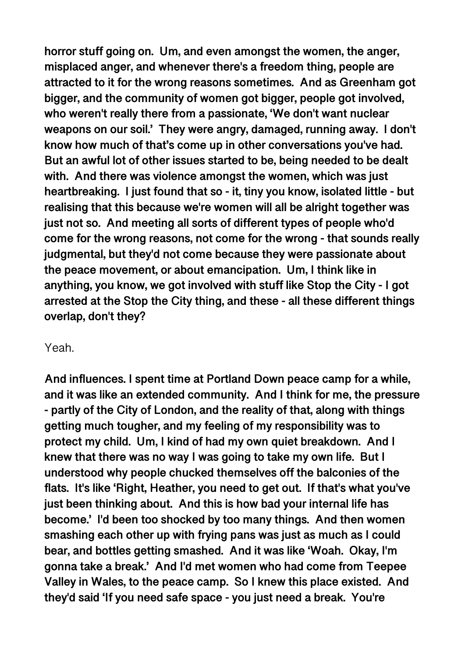**horror stuff going on. Um, and even amongst the women, the anger, misplaced anger, and whenever there's a freedom thing, people are attracted to it for the wrong reasons sometimes. And as Greenham got bigger, and the community of women got bigger, people got involved, who weren't really there from a passionate, 'We don't want nuclear weapons on our soil.' They were angry, damaged, running away. I don't know how much of that's come up in other conversations you've had. But an awful lot of other issues started to be, being needed to be dealt with. And there was violence amongst the women, which was just heartbreaking. I just found that so - it, tiny you know, isolated little - but realising that this because we're women will all be alright together was just not so. And meeting all sorts of different types of people who'd come for the wrong reasons, not come for the wrong - that sounds really judgmental, but they'd not come because they were passionate about the peace movement, or about emancipation. Um, I think like in anything, you know, we got involved with stuff like Stop the City - I got arrested at the Stop the City thing, and these - all these different things overlap, don't they?** 

#### Yeah.

**And influences. I spent time at Portland Down peace camp for a while, and it was like an extended community. And I think for me, the pressure - partly of the City of London, and the reality of that, along with things getting much tougher, and my feeling of my responsibility was to protect my child. Um, I kind of had my own quiet breakdown. And I knew that there was no way I was going to take my own life. But I understood why people chucked themselves off the balconies of the flats. It's like 'Right, Heather, you need to get out. If that's what you've just been thinking about. And this is how bad your internal life has become.' I'd been too shocked by too many things. And then women smashing each other up with frying pans was just as much as I could bear, and bottles getting smashed. And it was like 'Woah. Okay, I'm gonna take a break.' And I'd met women who had come from Teepee Valley in Wales, to the peace camp. So I knew this place existed. And they'd said 'If you need safe space - you just need a break. You're**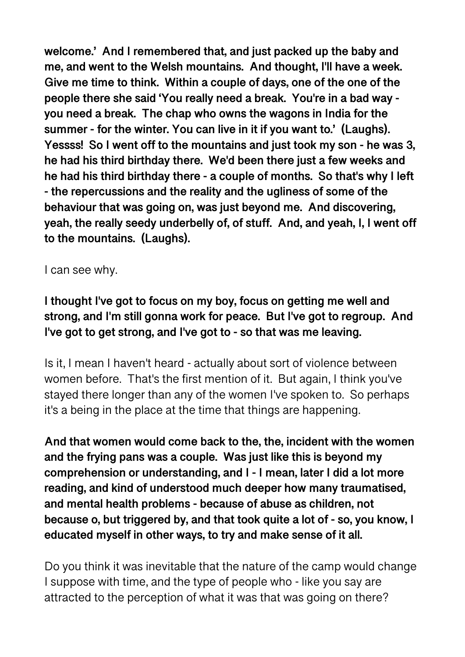**welcome.' And I remembered that, and just packed up the baby and me, and went to the Welsh mountains. And thought, I'll have a week. Give me time to think. Within a couple of days, one of the one of the people there she said 'You really need a break. You're in a bad way you need a break. The chap who owns the wagons in India for the summer - for the winter. You can live in it if you want to.' (Laughs). Yessss! So I went off to the mountains and just took my son - he was 3, he had his third birthday there. We'd been there just a few weeks and he had his third birthday there - a couple of months. So that's why I left - the repercussions and the reality and the ugliness of some of the behaviour that was going on, was just beyond me. And discovering, yeah, the really seedy underbelly of, of stuff. And, and yeah, I, I went off to the mountains. (Laughs).** 

I can see why.

**I thought I've got to focus on my boy, focus on getting me well and strong, and I'm still gonna work for peace. But I've got to regroup. And I've got to get strong, and I've got to - so that was me leaving.** 

Is it, I mean I haven't heard - actually about sort of violence between women before. That's the first mention of it. But again, I think you've stayed there longer than any of the women I've spoken to. So perhaps it's a being in the place at the time that things are happening.

**And that women would come back to the, the, incident with the women and the frying pans was a couple. Was just like this is beyond my comprehension or understanding, and I - I mean, later I did a lot more reading, and kind of understood much deeper how many traumatised, and mental health problems - because of abuse as children, not because o, but triggered by, and that took quite a lot of - so, you know, I educated myself in other ways, to try and make sense of it all.** 

Do you think it was inevitable that the nature of the camp would change I suppose with time, and the type of people who - like you say are attracted to the perception of what it was that was going on there?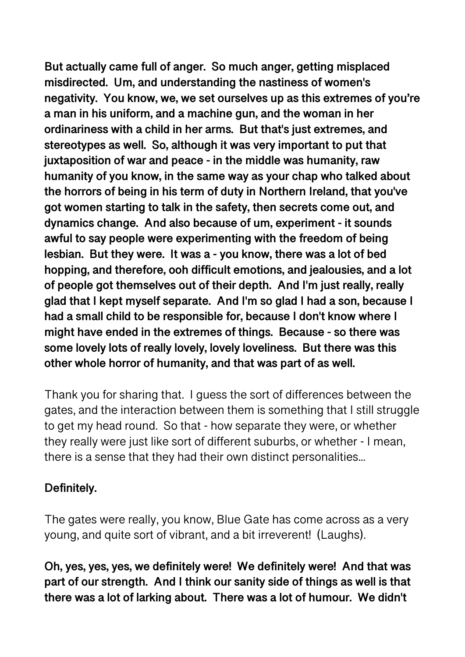**But actually came full of anger. So much anger, getting misplaced misdirected. Um, and understanding the nastiness of women's negativity. You know, we, we set ourselves up as this extremes of you're a man in his uniform, and a machine gun, and the woman in her ordinariness with a child in her arms. But that's just extremes, and stereotypes as well. So, although it was very important to put that juxtaposition of war and peace - in the middle was humanity, raw humanity of you know, in the same way as your chap who talked about the horrors of being in his term of duty in Northern Ireland, that you've got women starting to talk in the safety, then secrets come out, and dynamics change. And also because of um, experiment - it sounds awful to say people were experimenting with the freedom of being lesbian. But they were. It was a - you know, there was a lot of bed hopping, and therefore, ooh difficult emotions, and jealousies, and a lot of people got themselves out of their depth. And I'm just really, really glad that I kept myself separate. And I'm so glad I had a son, because I had a small child to be responsible for, because I don't know where I might have ended in the extremes of things. Because - so there was some lovely lots of really lovely, lovely loveliness. But there was this other whole horror of humanity, and that was part of as well.** 

Thank you for sharing that. I guess the sort of differences between the gates, and the interaction between them is something that I still struggle to get my head round. So that - how separate they were, or whether they really were just like sort of different suburbs, or whether - I mean, there is a sense that they had their own distinct personalities...

## **Definitely.**

The gates were really, you know, Blue Gate has come across as a very young, and quite sort of vibrant, and a bit irreverent! (Laughs).

**Oh, yes, yes, yes, we definitely were! We definitely were! And that was part of our strength. And I think our sanity side of things as well is that there was a lot of larking about. There was a lot of humour. We didn't**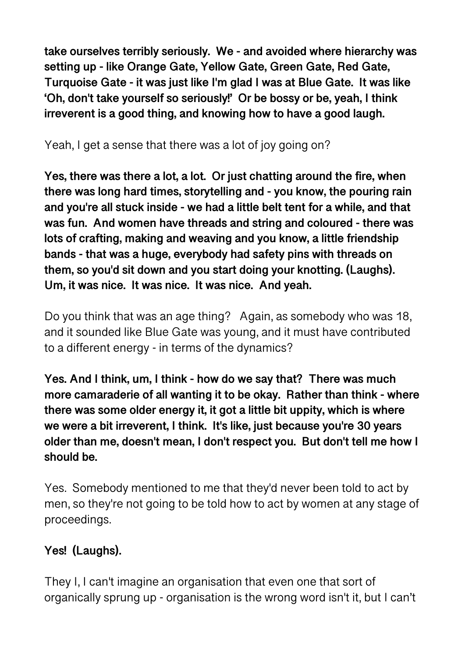**take ourselves terribly seriously. We - and avoided where hierarchy was setting up - like Orange Gate, Yellow Gate, Green Gate, Red Gate, Turquoise Gate - it was just like I'm glad I was at Blue Gate. It was like 'Oh, don't take yourself so seriously!' Or be bossy or be, yeah, I think irreverent is a good thing, and knowing how to have a good laugh.** 

## Yeah, I get a sense that there was a lot of joy going on?

**Yes, there was there a lot, a lot. Or just chatting around the fire, when there was long hard times, storytelling and - you know, the pouring rain and you're all stuck inside - we had a little belt tent for a while, and that was fun. And women have threads and string and coloured - there was lots of crafting, making and weaving and you know, a little friendship bands - that was a huge, everybody had safety pins with threads on them, so you'd sit down and you start doing your knotting. (Laughs). Um, it was nice. It was nice. It was nice. And yeah.** 

Do you think that was an age thing? Again, as somebody who was 18, and it sounded like Blue Gate was young, and it must have contributed to a different energy - in terms of the dynamics?

**Yes. And I think, um, I think - how do we say that? There was much more camaraderie of all wanting it to be okay. Rather than think - where there was some older energy it, it got a little bit uppity, which is where we were a bit irreverent, I think. It's like, just because you're 30 years older than me, doesn't mean, I don't respect you. But don't tell me how I should be.** 

Yes. Somebody mentioned to me that they'd never been told to act by men, so they're not going to be told how to act by women at any stage of proceedings.

# **Yes! (Laughs).**

They I, I can't imagine an organisation that even one that sort of organically sprung up - organisation is the wrong word isn't it, but I can't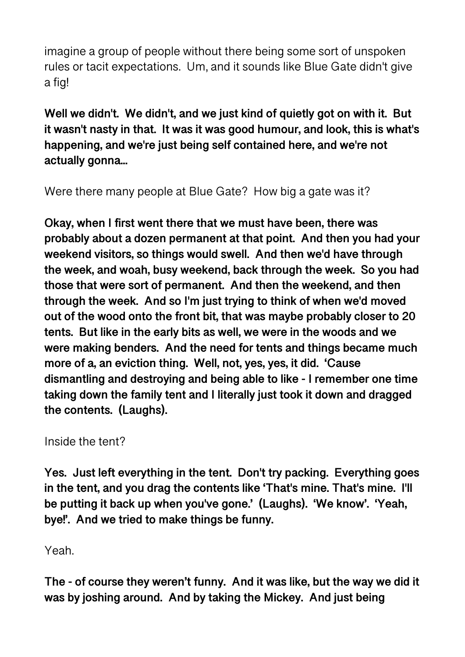imagine a group of people without there being some sort of unspoken rules or tacit expectations. Um, and it sounds like Blue Gate didn't give a fig!

**Well we didn't. We didn't, and we just kind of quietly got on with it. But it wasn't nasty in that. It was it was good humour, and look, this is what's happening, and we're just being self contained here, and we're not actually gonna...** 

Were there many people at Blue Gate? How big a gate was it?

**Okay, when I first went there that we must have been, there was probably about a dozen permanent at that point. And then you had your weekend visitors, so things would swell. And then we'd have through the week, and woah, busy weekend, back through the week. So you had those that were sort of permanent. And then the weekend, and then through the week. And so I'm just trying to think of when we'd moved out of the wood onto the front bit, that was maybe probably closer to 20 tents. But like in the early bits as well, we were in the woods and we were making benders. And the need for tents and things became much more of a, an eviction thing. Well, not, yes, yes, it did. 'Cause dismantling and destroying and being able to like - I remember one time taking down the family tent and I literally just took it down and dragged the contents. (Laughs).** 

Inside the tent?

**Yes. Just left everything in the tent. Don't try packing. Everything goes in the tent, and you drag the contents like 'That's mine. That's mine. I'll be putting it back up when you've gone.' (Laughs). 'We know'. 'Yeah, bye!'. And we tried to make things be funny.** 

Yeah.

**The - of course they weren't funny. And it was like, but the way we did it was by joshing around. And by taking the Mickey. And just being**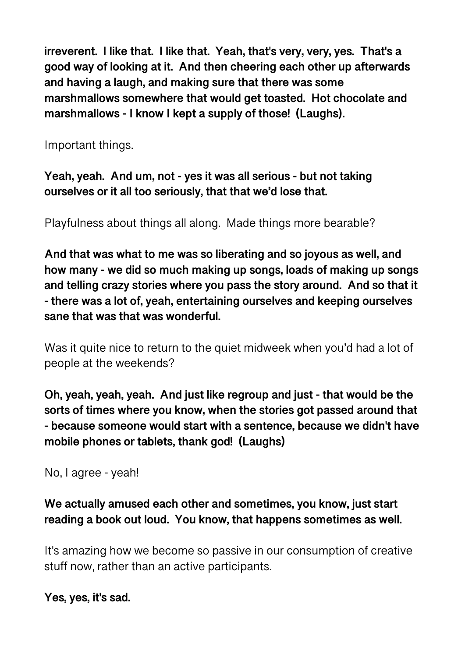**irreverent. I like that. I like that. Yeah, that's very, very, yes. That's a good way of looking at it. And then cheering each other up afterwards and having a laugh, and making sure that there was some marshmallows somewhere that would get toasted. Hot chocolate and marshmallows - I know I kept a supply of those! (Laughs).** 

Important things.

**Yeah, yeah. And um, not - yes it was all serious - but not taking ourselves or it all too seriously, that that we'd lose that.** 

Playfulness about things all along. Made things more bearable?

**And that was what to me was so liberating and so joyous as well, and how many - we did so much making up songs, loads of making up songs and telling crazy stories where you pass the story around. And so that it - there was a lot of, yeah, entertaining ourselves and keeping ourselves sane that was that was wonderful.** 

Was it quite nice to return to the quiet midweek when you'd had a lot of people at the weekends?

**Oh, yeah, yeah, yeah. And just like regroup and just - that would be the sorts of times where you know, when the stories got passed around that - because someone would start with a sentence, because we didn't have mobile phones or tablets, thank god! (Laughs)** 

No, I agree - yeah!

## **We actually amused each other and sometimes, you know, just start reading a book out loud. You know, that happens sometimes as well.**

It's amazing how we become so passive in our consumption of creative stuff now, rather than an active participants.

**Yes, yes, it's sad.**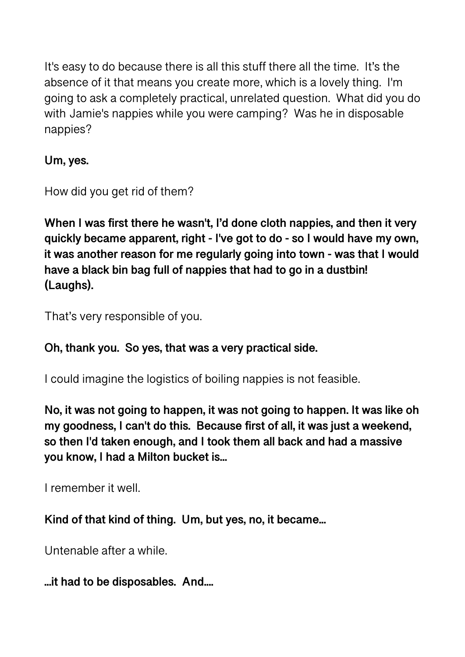It's easy to do because there is all this stuff there all the time. It's the absence of it that means you create more, which is a lovely thing. I'm going to ask a completely practical, unrelated question. What did you do with Jamie's nappies while you were camping? Was he in disposable nappies?

**Um, yes.** 

How did you get rid of them?

**When I was first there he wasn't, I'd done cloth nappies, and then it very quickly became apparent, right - I've got to do - so I would have my own, it was another reason for me regularly going into town - was that I would have a black bin bag full of nappies that had to go in a dustbin! (Laughs).** 

That's very responsible of you.

# **Oh, thank you. So yes, that was a very practical side.**

I could imagine the logistics of boiling nappies is not feasible.

**No, it was not going to happen, it was not going to happen. It was like oh my goodness, I can't do this. Because first of all, it was just a weekend, so then I'd taken enough, and I took them all back and had a massive you know, I had a Milton bucket is...** 

I remember it well.

**Kind of that kind of thing. Um, but yes, no, it became...** 

Untenable after a while.

**...it had to be disposables. And....**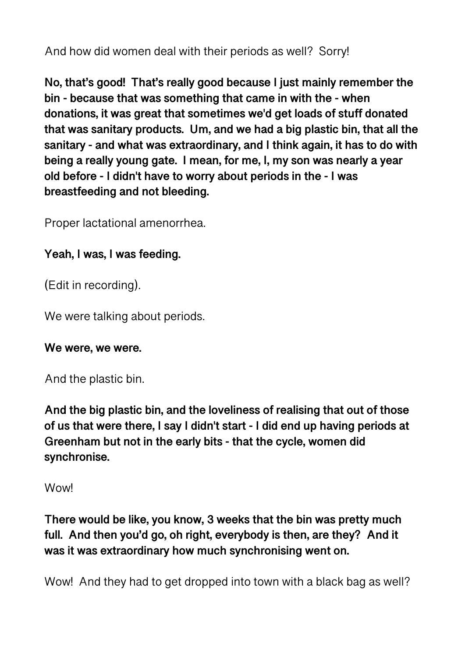And how did women deal with their periods as well? Sorry!

**No, that's good! That's really good because I just mainly remember the bin - because that was something that came in with the - when donations, it was great that sometimes we'd get loads of stuff donated that was sanitary products. Um, and we had a big plastic bin, that all the sanitary - and what was extraordinary, and I think again, it has to do with being a really young gate. I mean, for me, I, my son was nearly a year old before - I didn't have to worry about periods in the - I was breastfeeding and not bleeding.** 

Proper lactational amenorrhea.

## **Yeah, I was, I was feeding.**

(Edit in recording).

We were talking about periods.

#### **We were, we were.**

And the plastic bin.

**And the big plastic bin, and the loveliness of realising that out of those of us that were there, I say I didn't start - I did end up having periods at Greenham but not in the early bits - that the cycle, women did synchronise.** 

#### **Wow!**

**There would be like, you know, 3 weeks that the bin was pretty much full. And then you'd go, oh right, everybody is then, are they? And it was it was extraordinary how much synchronising went on.** 

Wow! And they had to get dropped into town with a black bag as well?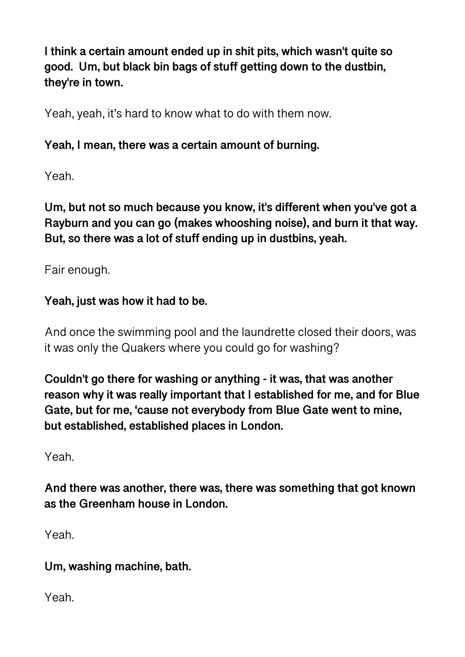**I think a certain amount ended up in shit pits, which wasn't quite so good. Um, but black bin bags of stuff getting down to the dustbin, they're in town.** 

Yeah, yeah, it's hard to know what to do with them now.

#### **Yeah, I mean, there was a certain amount of burning.**

Yeah.

**Um, but not so much because you know, it's different when you've got a Rayburn and you can go (makes whooshing noise), and burn it that way. But, so there was a lot of stuff ending up in dustbins, yeah.** 

Fair enough.

## **Yeah, just was how it had to be.**

And once the swimming pool and the laundrette closed their doors, was it was only the Quakers where you could go for washing?

**Couldn't go there for washing or anything - it was, that was another reason why it was really important that I established for me, and for Blue Gate, but for me, 'cause not everybody from Blue Gate went to mine, but established, established places in London.** 

Yeah.

**And there was another, there was, there was something that got known as the Greenham house in London.** 

Yeah.

## **Um, washing machine, bath.**

Yeah.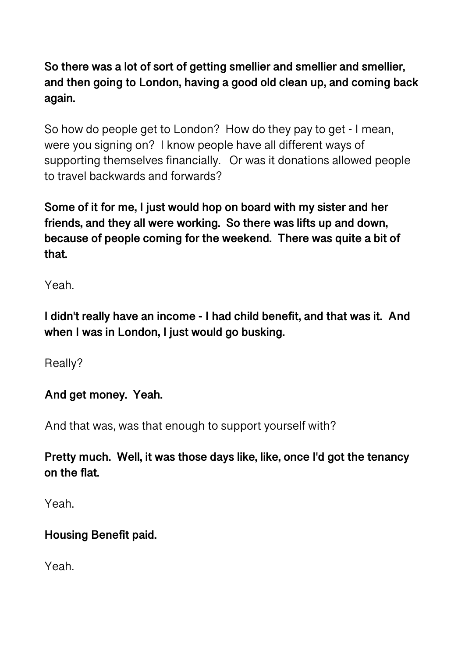**So there was a lot of sort of getting smellier and smellier and smellier, and then going to London, having a good old clean up, and coming back again.** 

So how do people get to London? How do they pay to get - I mean, were you signing on? I know people have all different ways of supporting themselves financially. Or was it donations allowed people to travel backwards and forwards?

**Some of it for me, I just would hop on board with my sister and her friends, and they all were working. So there was lifts up and down, because of people coming for the weekend. There was quite a bit of that.** 

Yeah.

**I didn't really have an income - I had child benefit, and that was it. And when I was in London, I just would go busking.** 

Really?

## **And get money. Yeah.**

And that was, was that enough to support yourself with?

**Pretty much. Well, it was those days like, like, once I'd got the tenancy on the flat.** 

Yeah.

## **Housing Benefit paid.**

Yeah.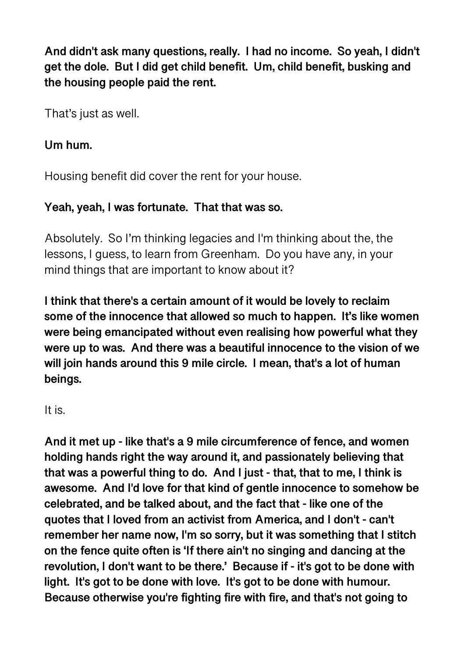**And didn't ask many questions, really. I had no income. So yeah, I didn't get the dole. But I did get child benefit. Um, child benefit, busking and the housing people paid the rent.** 

That's just as well.

#### **Um hum.**

Housing benefit did cover the rent for your house.

## **Yeah, yeah, I was fortunate. That that was so.**

Absolutely. So I'm thinking legacies and I'm thinking about the, the lessons, I guess, to learn from Greenham. Do you have any, in your mind things that are important to know about it?

**I think that there's a certain amount of it would be lovely to reclaim some of the innocence that allowed so much to happen. It's like women were being emancipated without even realising how powerful what they were up to was. And there was a beautiful innocence to the vision of we will join hands around this 9 mile circle. I mean, that's a lot of human beings.** 

#### It is.

**And it met up - like that's a 9 mile circumference of fence, and women holding hands right the way around it, and passionately believing that that was a powerful thing to do. And I just - that, that to me, I think is awesome. And I'd love for that kind of gentle innocence to somehow be celebrated, and be talked about, and the fact that - like one of the quotes that I loved from an activist from America, and I don't - can't remember her name now, I'm so sorry, but it was something that I stitch on the fence quite often is 'If there ain't no singing and dancing at the revolution, I don't want to be there.' Because if - it's got to be done with light. It's got to be done with love. It's got to be done with humour. Because otherwise you're fighting fire with fire, and that's not going to**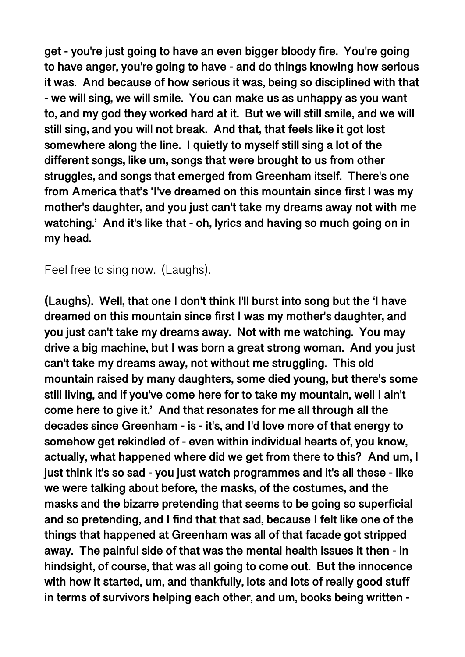**get - you're just going to have an even bigger bloody fire. You're going to have anger, you're going to have - and do things knowing how serious it was. And because of how serious it was, being so disciplined with that - we will sing, we will smile. You can make us as unhappy as you want to, and my god they worked hard at it. But we will still smile, and we will still sing, and you will not break. And that, that feels like it got lost somewhere along the line. I quietly to myself still sing a lot of the different songs, like um, songs that were brought to us from other struggles, and songs that emerged from Greenham itself. There's one from America that's 'I've dreamed on this mountain since first I was my mother's daughter, and you just can't take my dreams away not with me watching.' And it's like that - oh, lyrics and having so much going on in my head.** 

Feel free to sing now. (Laughs).

**(Laughs). Well, that one I don't think I'll burst into song but the 'I have dreamed on this mountain since first I was my mother's daughter, and you just can't take my dreams away. Not with me watching. You may drive a big machine, but I was born a great strong woman. And you just can't take my dreams away, not without me struggling. This old mountain raised by many daughters, some died young, but there's some still living, and if you've come here for to take my mountain, well I ain't come here to give it.' And that resonates for me all through all the decades since Greenham - is - it's, and I'd love more of that energy to somehow get rekindled of - even within individual hearts of, you know, actually, what happened where did we get from there to this? And um, I just think it's so sad - you just watch programmes and it's all these - like we were talking about before, the masks, of the costumes, and the masks and the bizarre pretending that seems to be going so superficial and so pretending, and I find that that sad, because I felt like one of the things that happened at Greenham was all of that facade got stripped away. The painful side of that was the mental health issues it then - in hindsight, of course, that was all going to come out. But the innocence with how it started, um, and thankfully, lots and lots of really good stuff in terms of survivors helping each other, and um, books being written -**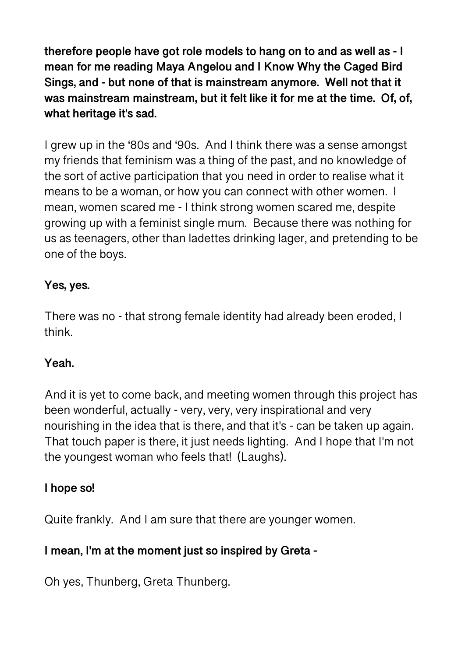**therefore people have got role models to hang on to and as well as - I mean for me reading Maya Angelou and I Know Why the Caged Bird Sings, and - but none of that is mainstream anymore. Well not that it was mainstream mainstream, but it felt like it for me at the time. Of, of, what heritage it's sad.** 

I grew up in the '80s and '90s. And I think there was a sense amongst my friends that feminism was a thing of the past, and no knowledge of the sort of active participation that you need in order to realise what it means to be a woman, or how you can connect with other women. I mean, women scared me - I think strong women scared me, despite growing up with a feminist single mum. Because there was nothing for us as teenagers, other than ladettes drinking lager, and pretending to be one of the boys.

#### **Yes, yes.**

There was no - that strong female identity had already been eroded, I think.

#### **Yeah.**

And it is yet to come back, and meeting women through this project has been wonderful, actually - very, very, very inspirational and very nourishing in the idea that is there, and that it's - can be taken up again. That touch paper is there, it just needs lighting. And I hope that I'm not the youngest woman who feels that! (Laughs).

#### **I hope so!**

Quite frankly. And I am sure that there are younger women.

## **I mean, I'm at the moment just so inspired by Greta -**

Oh yes, Thunberg, Greta Thunberg.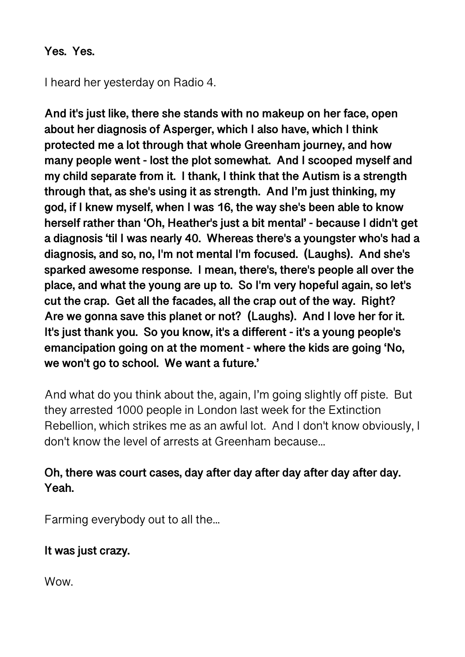#### **Yes. Yes.**

I heard her yesterday on Radio 4.

**And it's just like, there she stands with no makeup on her face, open about her diagnosis of Asperger, which I also have, which I think protected me a lot through that whole Greenham journey, and how many people went - lost the plot somewhat. And I scooped myself and my child separate from it. I thank, I think that the Autism is a strength through that, as she's using it as strength. And I'm just thinking, my god, if I knew myself, when I was 16, the way she's been able to know herself rather than 'Oh, Heather's just a bit mental' - because I didn't get a diagnosis 'til I was nearly 40. Whereas there's a youngster who's had a diagnosis, and so, no, I'm not mental I'm focused. (Laughs). And she's sparked awesome response. I mean, there's, there's people all over the place, and what the young are up to. So I'm very hopeful again, so let's cut the crap. Get all the facades, all the crap out of the way. Right? Are we gonna save this planet or not? (Laughs). And I love her for it. It's just thank you. So you know, it's a different - it's a young people's emancipation going on at the moment - where the kids are going 'No, we won't go to school. We want a future.'** 

And what do you think about the, again, I'm going slightly off piste. But they arrested 1000 people in London last week for the Extinction Rebellion, which strikes me as an awful lot. And I don't know obviously, I don't know the level of arrests at Greenham because...

## **Oh, there was court cases, day after day after day after day after day. Yeah.**

Farming everybody out to all the...

## **It was just crazy.**

Wow.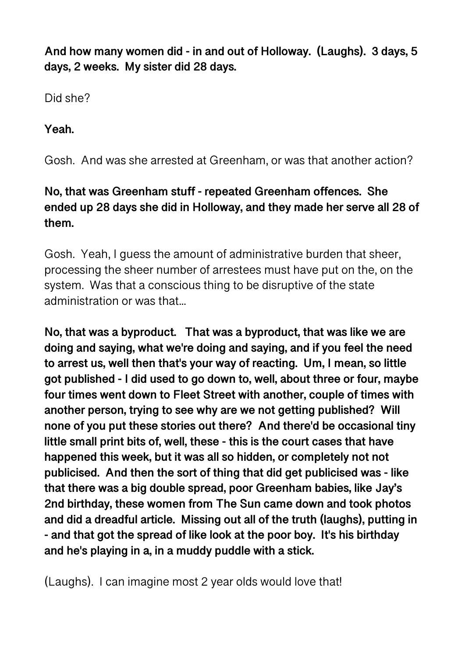**And how many women did - in and out of Holloway. (Laughs). 3 days, 5 days, 2 weeks. My sister did 28 days.** 

Did she?

**Yeah.** 

Gosh. And was she arrested at Greenham, or was that another action?

# **No, that was Greenham stuff - repeated Greenham offences. She ended up 28 days she did in Holloway, and they made her serve all 28 of them.**

Gosh. Yeah, I guess the amount of administrative burden that sheer, processing the sheer number of arrestees must have put on the, on the system. Was that a conscious thing to be disruptive of the state administration or was that...

**No, that was a byproduct. That was a byproduct, that was like we are doing and saying, what we're doing and saying, and if you feel the need to arrest us, well then that's your way of reacting. Um, I mean, so little got published - I did used to go down to, well, about three or four, maybe four times went down to Fleet Street with another, couple of times with another person, trying to see why are we not getting published? Will none of you put these stories out there? And there'd be occasional tiny little small print bits of, well, these - this is the court cases that have happened this week, but it was all so hidden, or completely not not publicised. And then the sort of thing that did get publicised was - like that there was a big double spread, poor Greenham babies, like Jay's 2nd birthday, these women from The Sun came down and took photos and did a dreadful article. Missing out all of the truth (laughs), putting in - and that got the spread of like look at the poor boy. It's his birthday and he's playing in a, in a muddy puddle with a stick.** 

(Laughs). I can imagine most 2 year olds would love that!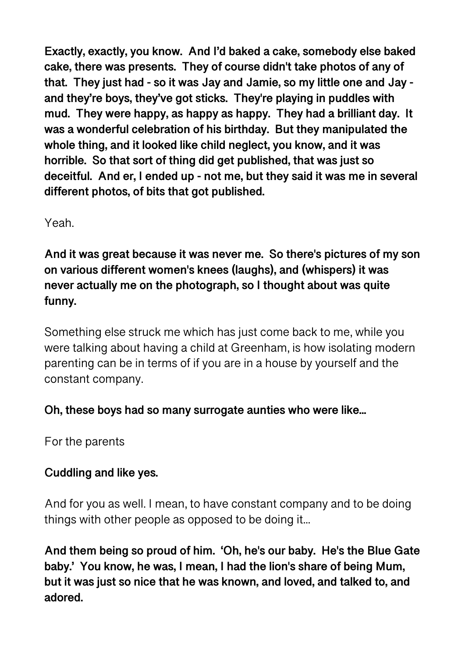**Exactly, exactly, you know. And I'd baked a cake, somebody else baked cake, there was presents. They of course didn't take photos of any of that. They just had - so it was Jay and Jamie, so my little one and Jay and they're boys, they've got sticks. They're playing in puddles with mud. They were happy, as happy as happy. They had a brilliant day. It was a wonderful celebration of his birthday. But they manipulated the whole thing, and it looked like child neglect, you know, and it was horrible. So that sort of thing did get published, that was just so deceitful. And er, I ended up - not me, but they said it was me in several different photos, of bits that got published.** 

Yeah.

**And it was great because it was never me. So there's pictures of my son on various different women's knees (laughs), and (whispers) it was never actually me on the photograph, so I thought about was quite funny.** 

Something else struck me which has just come back to me, while you were talking about having a child at Greenham, is how isolating modern parenting can be in terms of if you are in a house by yourself and the constant company.

## **Oh, these boys had so many surrogate aunties who were like...**

For the parents

## **Cuddling and like yes.**

And for you as well. I mean, to have constant company and to be doing things with other people as opposed to be doing it...

**And them being so proud of him. 'Oh, he's our baby. He's the Blue Gate baby.' You know, he was, I mean, I had the lion's share of being Mum, but it was just so nice that he was known, and loved, and talked to, and adored.**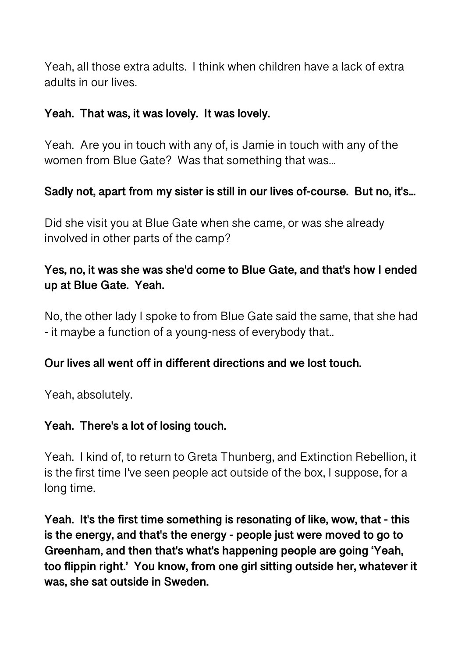Yeah, all those extra adults. I think when children have a lack of extra adults in our lives.

#### **Yeah. That was, it was lovely. It was lovely.**

Yeah. Are you in touch with any of, is Jamie in touch with any of the women from Blue Gate? Was that something that was...

#### **Sadly not, apart from my sister is still in our lives of-course. But no, it's...**

Did she visit you at Blue Gate when she came, or was she already involved in other parts of the camp?

## **Yes, no, it was she was she'd come to Blue Gate, and that's how I ended up at Blue Gate. Yeah.**

No, the other lady I spoke to from Blue Gate said the same, that she had - it maybe a function of a young-ness of everybody that..

#### **Our lives all went off in different directions and we lost touch.**

Yeah, absolutely.

#### **Yeah. There's a lot of losing touch.**

Yeah. I kind of, to return to Greta Thunberg, and Extinction Rebellion, it is the first time I've seen people act outside of the box, I suppose, for a long time.

**Yeah. It's the first time something is resonating of like, wow, that - this is the energy, and that's the energy - people just were moved to go to Greenham, and then that's what's happening people are going 'Yeah, too flippin right.' You know, from one girl sitting outside her, whatever it was, she sat outside in Sweden.**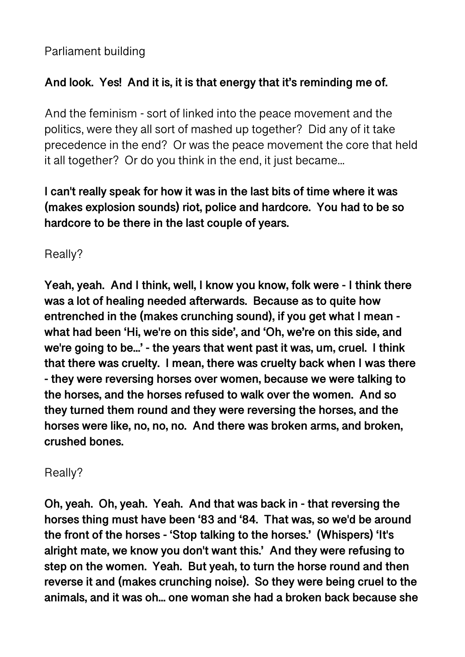Parliament building

## **And look. Yes! And it is, it is that energy that it's reminding me of.**

And the feminism - sort of linked into the peace movement and the politics, were they all sort of mashed up together? Did any of it take precedence in the end? Or was the peace movement the core that held it all together? Or do you think in the end, it just became...

**I can't really speak for how it was in the last bits of time where it was (makes explosion sounds) riot, police and hardcore. You had to be so hardcore to be there in the last couple of years.** 

Really?

**Yeah, yeah. And I think, well, I know you know, folk were - I think there was a lot of healing needed afterwards. Because as to quite how entrenched in the (makes crunching sound), if you get what I mean what had been 'Hi, we're on this side', and 'Oh, we're on this side, and we're going to be...' - the years that went past it was, um, cruel. I think that there was cruelty. I mean, there was cruelty back when I was there - they were reversing horses over women, because we were talking to the horses, and the horses refused to walk over the women. And so they turned them round and they were reversing the horses, and the horses were like, no, no, no. And there was broken arms, and broken, crushed bones.** 

Really?

**Oh, yeah. Oh, yeah. Yeah. And that was back in - that reversing the horses thing must have been '83 and '84. That was, so we'd be around the front of the horses - 'Stop talking to the horses.' (Whispers) 'It's alright mate, we know you don't want this.' And they were refusing to step on the women. Yeah. But yeah, to turn the horse round and then reverse it and (makes crunching noise). So they were being cruel to the animals, and it was oh... one woman she had a broken back because she**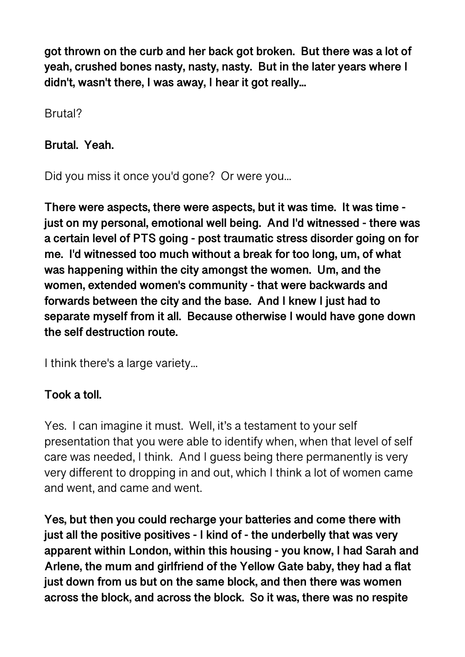**got thrown on the curb and her back got broken. But there was a lot of yeah, crushed bones nasty, nasty, nasty. But in the later years where I didn't, wasn't there, I was away, I hear it got really...** 

Brutal?

**Brutal. Yeah.** 

Did you miss it once you'd gone? Or were you...

**There were aspects, there were aspects, but it was time. It was time just on my personal, emotional well being. And I'd witnessed - there was a certain level of PTS going - post traumatic stress disorder going on for me. I'd witnessed too much without a break for too long, um, of what was happening within the city amongst the women. Um, and the women, extended women's community - that were backwards and forwards between the city and the base. And I knew I just had to separate myself from it all. Because otherwise I would have gone down the self destruction route.** 

I think there's a large variety...

# **Took a toll.**

Yes. I can imagine it must. Well, it's a testament to your self presentation that you were able to identify when, when that level of self care was needed, I think. And I guess being there permanently is very very different to dropping in and out, which I think a lot of women came and went, and came and went.

**Yes, but then you could recharge your batteries and come there with just all the positive positives - I kind of - the underbelly that was very apparent within London, within this housing - you know, I had Sarah and Arlene, the mum and girlfriend of the Yellow Gate baby, they had a flat just down from us but on the same block, and then there was women across the block, and across the block. So it was, there was no respite**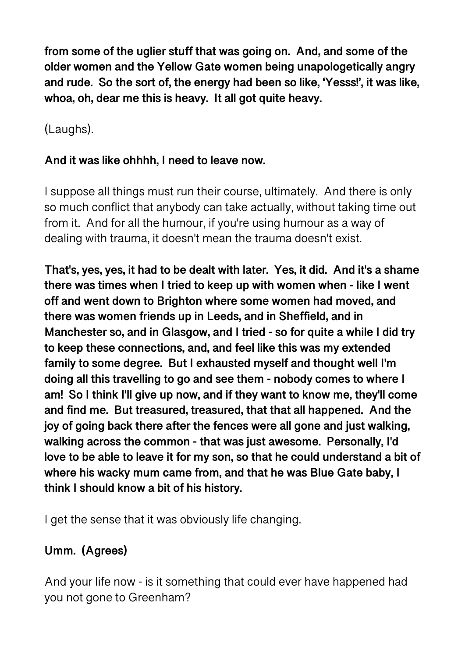**from some of the uglier stuff that was going on. And, and some of the older women and the Yellow Gate women being unapologetically angry and rude. So the sort of, the energy had been so like, 'Yesss!', it was like, whoa, oh, dear me this is heavy. It all got quite heavy.** 

(Laughs).

#### **And it was like ohhhh, I need to leave now.**

I suppose all things must run their course, ultimately. And there is only so much conflict that anybody can take actually, without taking time out from it. And for all the humour, if you're using humour as a way of dealing with trauma, it doesn't mean the trauma doesn't exist.

**That's, yes, yes, it had to be dealt with later. Yes, it did. And it's a shame there was times when I tried to keep up with women when - like I went off and went down to Brighton where some women had moved, and there was women friends up in Leeds, and in Sheffield, and in Manchester so, and in Glasgow, and I tried - so for quite a while I did try to keep these connections, and, and feel like this was my extended family to some degree. But I exhausted myself and thought well I'm doing all this travelling to go and see them - nobody comes to where I am! So I think I'll give up now, and if they want to know me, they'll come and find me. But treasured, treasured, that that all happened. And the joy of going back there after the fences were all gone and just walking, walking across the common - that was just awesome. Personally, I'd love to be able to leave it for my son, so that he could understand a bit of where his wacky mum came from, and that he was Blue Gate baby, I think I should know a bit of his history.** 

I get the sense that it was obviously life changing.

# **Umm. (Agrees)**

And your life now - is it something that could ever have happened had you not gone to Greenham?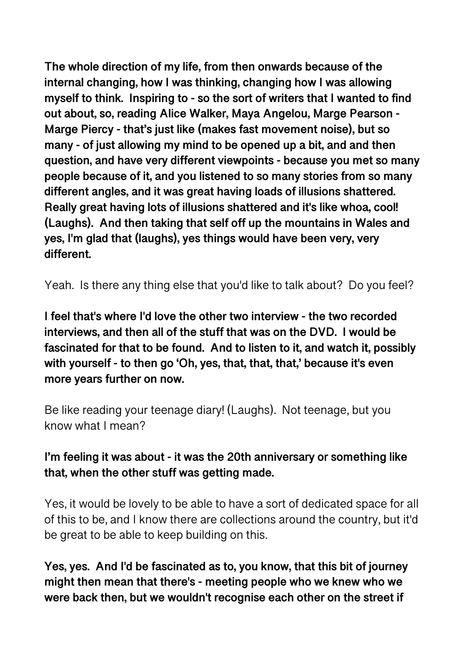**The whole direction of my life, from then onwards because of the internal changing, how I was thinking, changing how I was allowing myself to think. Inspiring to - so the sort of writers that I wanted to find out about, so, reading Alice Walker, Maya Angelou, Marge Pearson - Marge Piercy - that's just like (makes fast movement noise), but so many - of just allowing my mind to be opened up a bit, and and then question, and have very different viewpoints - because you met so many people because of it, and you listened to so many stories from so many different angles, and it was great having loads of illusions shattered. Really great having lots of illusions shattered and it's like whoa, cool! (Laughs). And then taking that self off up the mountains in Wales and yes, I'm glad that (laughs), yes things would have been very, very different.** 

Yeah. Is there any thing else that you'd like to talk about? Do you feel?

**I feel that's where I'd love the other two interview - the two recorded interviews, and then all of the stuff that was on the DVD. I would be fascinated for that to be found. And to listen to it, and watch it, possibly with yourself - to then go 'Oh, yes, that, that, that,' because it's even more years further on now.** 

Be like reading your teenage diary! (Laughs). Not teenage, but you know what I mean?

## **I'm feeling it was about - it was the 20th anniversary or something like that, when the other stuff was getting made.**

Yes, it would be lovely to be able to have a sort of dedicated space for all of this to be, and I know there are collections around the country, but it'd be great to be able to keep building on this.

**Yes, yes. And I'd be fascinated as to, you know, that this bit of journey might then mean that there's - meeting people who we knew who we were back then, but we wouldn't recognise each other on the street if**